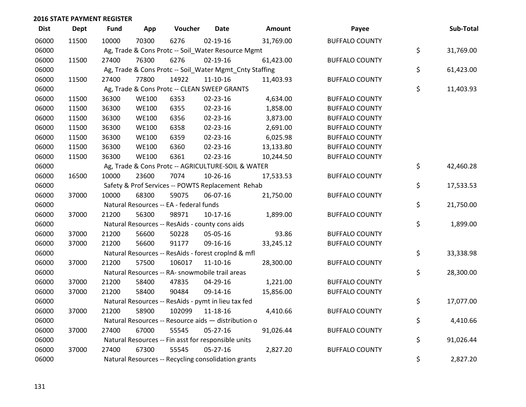| <b>Dist</b> | <b>Dept</b> | <b>Fund</b> | App          | Voucher                                                 | <b>Date</b>    | <b>Amount</b> | Payee                 | Sub-Total       |
|-------------|-------------|-------------|--------------|---------------------------------------------------------|----------------|---------------|-----------------------|-----------------|
| 06000       | 11500       | 10000       | 70300        | 6276                                                    | $02 - 19 - 16$ | 31,769.00     | <b>BUFFALO COUNTY</b> |                 |
| 06000       |             |             |              | Ag, Trade & Cons Protc -- Soil_Water Resource Mgmt      |                |               |                       | \$<br>31,769.00 |
| 06000       | 11500       | 27400       | 76300        | 6276                                                    | 02-19-16       | 61,423.00     | <b>BUFFALO COUNTY</b> |                 |
| 06000       |             |             |              | Ag, Trade & Cons Protc -- Soil_Water Mgmt_Cnty Staffing |                |               |                       | \$<br>61,423.00 |
| 06000       | 11500       | 27400       | 77800        | 14922                                                   | $11 - 10 - 16$ | 11,403.93     | <b>BUFFALO COUNTY</b> |                 |
| 06000       |             |             |              | Ag, Trade & Cons Protc -- CLEAN SWEEP GRANTS            |                |               |                       | \$<br>11,403.93 |
| 06000       | 11500       | 36300       | <b>WE100</b> | 6353                                                    | 02-23-16       | 4,634.00      | <b>BUFFALO COUNTY</b> |                 |
| 06000       | 11500       | 36300       | <b>WE100</b> | 6355                                                    | 02-23-16       | 1,858.00      | <b>BUFFALO COUNTY</b> |                 |
| 06000       | 11500       | 36300       | <b>WE100</b> | 6356                                                    | 02-23-16       | 3,873.00      | <b>BUFFALO COUNTY</b> |                 |
| 06000       | 11500       | 36300       | <b>WE100</b> | 6358                                                    | 02-23-16       | 2,691.00      | <b>BUFFALO COUNTY</b> |                 |
| 06000       | 11500       | 36300       | <b>WE100</b> | 6359                                                    | 02-23-16       | 6,025.98      | <b>BUFFALO COUNTY</b> |                 |
| 06000       | 11500       | 36300       | <b>WE100</b> | 6360                                                    | 02-23-16       | 13,133.80     | <b>BUFFALO COUNTY</b> |                 |
| 06000       | 11500       | 36300       | <b>WE100</b> | 6361                                                    | 02-23-16       | 10,244.50     | <b>BUFFALO COUNTY</b> |                 |
| 06000       |             |             |              | Ag, Trade & Cons Protc -- AGRICULTURE-SOIL & WATER      |                |               |                       | \$<br>42,460.28 |
| 06000       | 16500       | 10000       | 23600        | 7074                                                    | 10-26-16       | 17,533.53     | <b>BUFFALO COUNTY</b> |                 |
| 06000       |             |             |              | Safety & Prof Services -- POWTS Replacement Rehab       |                |               |                       | \$<br>17,533.53 |
| 06000       | 37000       | 10000       | 68300        | 59075                                                   | 06-07-16       | 21,750.00     | <b>BUFFALO COUNTY</b> |                 |
| 06000       |             |             |              | Natural Resources -- EA - federal funds                 |                |               |                       | \$<br>21,750.00 |
| 06000       | 37000       | 21200       | 56300        | 98971                                                   | $10-17-16$     | 1,899.00      | <b>BUFFALO COUNTY</b> |                 |
| 06000       |             |             |              | Natural Resources -- ResAids - county cons aids         |                |               |                       | \$<br>1,899.00  |
| 06000       | 37000       | 21200       | 56600        | 50228                                                   | 05-05-16       | 93.86         | <b>BUFFALO COUNTY</b> |                 |
| 06000       | 37000       | 21200       | 56600        | 91177                                                   | 09-16-16       | 33,245.12     | <b>BUFFALO COUNTY</b> |                 |
| 06000       |             |             |              | Natural Resources -- ResAids - forest croplnd & mfl     |                |               |                       | \$<br>33,338.98 |
| 06000       | 37000       | 21200       | 57500        | 106017                                                  | $11 - 10 - 16$ | 28,300.00     | <b>BUFFALO COUNTY</b> |                 |
| 06000       |             |             |              | Natural Resources -- RA- snowmobile trail areas         |                |               |                       | \$<br>28,300.00 |
| 06000       | 37000       | 21200       | 58400        | 47835                                                   | 04-29-16       | 1,221.00      | <b>BUFFALO COUNTY</b> |                 |
| 06000       | 37000       | 21200       | 58400        | 90484                                                   | 09-14-16       | 15,856.00     | <b>BUFFALO COUNTY</b> |                 |
| 06000       |             |             |              | Natural Resources -- ResAids - pymt in lieu tax fed     |                |               |                       | \$<br>17,077.00 |
| 06000       | 37000       | 21200       | 58900        | 102099                                                  | 11-18-16       | 4,410.66      | <b>BUFFALO COUNTY</b> |                 |
| 06000       |             |             |              | Natural Resources -- Resource aids - distribution o     |                |               |                       | \$<br>4,410.66  |
| 06000       | 37000       | 27400       | 67000        | 55545                                                   | 05-27-16       | 91,026.44     | <b>BUFFALO COUNTY</b> |                 |
| 06000       |             |             |              | Natural Resources -- Fin asst for responsible units     |                |               |                       | \$<br>91,026.44 |
| 06000       | 37000       | 27400       | 67300        | 55545                                                   | $05 - 27 - 16$ | 2,827.20      | <b>BUFFALO COUNTY</b> |                 |
| 06000       |             |             |              | Natural Resources -- Recycling consolidation grants     |                |               |                       | \$<br>2,827.20  |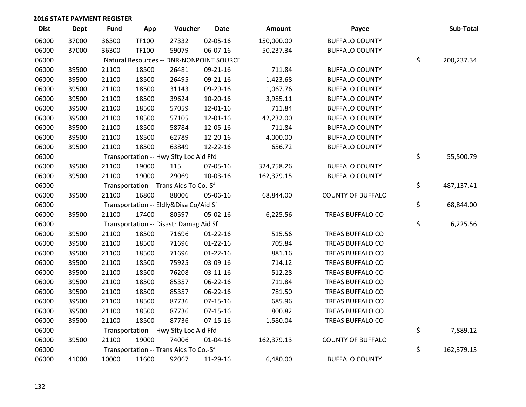| <b>Dist</b> | Dept  | <b>Fund</b> | App   | Voucher                                  | <b>Date</b>    | Amount     | Payee                    | Sub-Total        |
|-------------|-------|-------------|-------|------------------------------------------|----------------|------------|--------------------------|------------------|
| 06000       | 37000 | 36300       | TF100 | 27332                                    | 02-05-16       | 150,000.00 | <b>BUFFALO COUNTY</b>    |                  |
| 06000       | 37000 | 36300       | TF100 | 59079                                    | 06-07-16       | 50,237.34  | <b>BUFFALO COUNTY</b>    |                  |
| 06000       |       |             |       | Natural Resources -- DNR-NONPOINT SOURCE |                |            |                          | \$<br>200,237.34 |
| 06000       | 39500 | 21100       | 18500 | 26481                                    | 09-21-16       | 711.84     | <b>BUFFALO COUNTY</b>    |                  |
| 06000       | 39500 | 21100       | 18500 | 26495                                    | 09-21-16       | 1,423.68   | <b>BUFFALO COUNTY</b>    |                  |
| 06000       | 39500 | 21100       | 18500 | 31143                                    | 09-29-16       | 1,067.76   | <b>BUFFALO COUNTY</b>    |                  |
| 06000       | 39500 | 21100       | 18500 | 39624                                    | 10-20-16       | 3,985.11   | <b>BUFFALO COUNTY</b>    |                  |
| 06000       | 39500 | 21100       | 18500 | 57059                                    | 12-01-16       | 711.84     | <b>BUFFALO COUNTY</b>    |                  |
| 06000       | 39500 | 21100       | 18500 | 57105                                    | 12-01-16       | 42,232.00  | <b>BUFFALO COUNTY</b>    |                  |
| 06000       | 39500 | 21100       | 18500 | 58784                                    | 12-05-16       | 711.84     | <b>BUFFALO COUNTY</b>    |                  |
| 06000       | 39500 | 21100       | 18500 | 62789                                    | 12-20-16       | 4,000.00   | <b>BUFFALO COUNTY</b>    |                  |
| 06000       | 39500 | 21100       | 18500 | 63849                                    | 12-22-16       | 656.72     | <b>BUFFALO COUNTY</b>    |                  |
| 06000       |       |             |       | Transportation -- Hwy Sfty Loc Aid Ffd   |                |            |                          | \$<br>55,500.79  |
| 06000       | 39500 | 21100       | 19000 | 115                                      | 07-05-16       | 324,758.26 | <b>BUFFALO COUNTY</b>    |                  |
| 06000       | 39500 | 21100       | 19000 | 29069                                    | 10-03-16       | 162,379.15 | <b>BUFFALO COUNTY</b>    |                  |
| 06000       |       |             |       | Transportation -- Trans Aids To Co.-Sf   |                |            |                          | \$<br>487,137.41 |
| 06000       | 39500 | 21100       | 16800 | 88006                                    | 05-06-16       | 68,844.00  | <b>COUNTY OF BUFFALO</b> |                  |
| 06000       |       |             |       | Transportation -- Eldly&Disa Co/Aid Sf   |                |            |                          | \$<br>68,844.00  |
| 06000       | 39500 | 21100       | 17400 | 80597                                    | 05-02-16       | 6,225.56   | TREAS BUFFALO CO         |                  |
| 06000       |       |             |       | Transportation -- Disastr Damag Aid Sf   |                |            |                          | \$<br>6,225.56   |
| 06000       | 39500 | 21100       | 18500 | 71696                                    | $01-22-16$     | 515.56     | TREAS BUFFALO CO         |                  |
| 06000       | 39500 | 21100       | 18500 | 71696                                    | $01 - 22 - 16$ | 705.84     | TREAS BUFFALO CO         |                  |
| 06000       | 39500 | 21100       | 18500 | 71696                                    | $01 - 22 - 16$ | 881.16     | TREAS BUFFALO CO         |                  |
| 06000       | 39500 | 21100       | 18500 | 75925                                    | 03-09-16       | 714.12     | TREAS BUFFALO CO         |                  |
| 06000       | 39500 | 21100       | 18500 | 76208                                    | 03-11-16       | 512.28     | TREAS BUFFALO CO         |                  |
| 06000       | 39500 | 21100       | 18500 | 85357                                    | 06-22-16       | 711.84     | TREAS BUFFALO CO         |                  |
| 06000       | 39500 | 21100       | 18500 | 85357                                    | 06-22-16       | 781.50     | TREAS BUFFALO CO         |                  |
| 06000       | 39500 | 21100       | 18500 | 87736                                    | $07 - 15 - 16$ | 685.96     | TREAS BUFFALO CO         |                  |
| 06000       | 39500 | 21100       | 18500 | 87736                                    | $07 - 15 - 16$ | 800.82     | TREAS BUFFALO CO         |                  |
| 06000       | 39500 | 21100       | 18500 | 87736                                    | $07 - 15 - 16$ | 1,580.04   | TREAS BUFFALO CO         |                  |
| 06000       |       |             |       | Transportation -- Hwy Sfty Loc Aid Ffd   |                |            |                          | \$<br>7,889.12   |
| 06000       | 39500 | 21100       | 19000 | 74006                                    | 01-04-16       | 162,379.13 | <b>COUNTY OF BUFFALO</b> |                  |
| 06000       |       |             |       | Transportation -- Trans Aids To Co.-Sf   |                |            |                          | \$<br>162,379.13 |
| 06000       | 41000 | 10000       | 11600 | 92067                                    | 11-29-16       | 6,480.00   | <b>BUFFALO COUNTY</b>    |                  |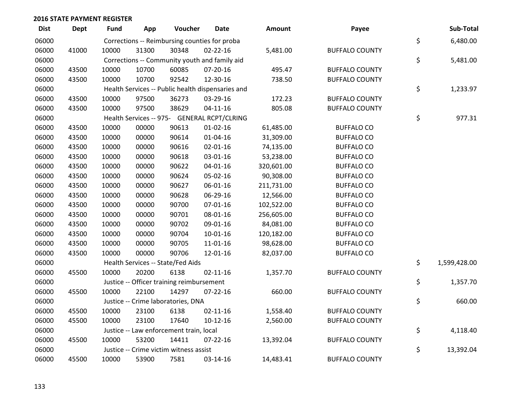| <b>Dist</b> | <b>Dept</b> | <b>Fund</b> | App   | Voucher                                   | <b>Date</b>                                       | Amount     | Payee                 | Sub-Total          |
|-------------|-------------|-------------|-------|-------------------------------------------|---------------------------------------------------|------------|-----------------------|--------------------|
| 06000       |             |             |       |                                           | Corrections -- Reimbursing counties for proba     |            |                       | \$<br>6,480.00     |
| 06000       | 41000       | 10000       | 31300 | 30348                                     | $02 - 22 - 16$                                    | 5,481.00   | <b>BUFFALO COUNTY</b> |                    |
| 06000       |             |             |       |                                           | Corrections -- Community youth and family aid     |            |                       | \$<br>5,481.00     |
| 06000       | 43500       | 10000       | 10700 | 60085                                     | 07-20-16                                          | 495.47     | <b>BUFFALO COUNTY</b> |                    |
| 06000       | 43500       | 10000       | 10700 | 92542                                     | 12-30-16                                          | 738.50     | <b>BUFFALO COUNTY</b> |                    |
| 06000       |             |             |       |                                           | Health Services -- Public health dispensaries and |            |                       | \$<br>1,233.97     |
| 06000       | 43500       | 10000       | 97500 | 36273                                     | 03-29-16                                          | 172.23     | <b>BUFFALO COUNTY</b> |                    |
| 06000       | 43500       | 10000       | 97500 | 38629                                     | $04 - 11 - 16$                                    | 805.08     | <b>BUFFALO COUNTY</b> |                    |
| 06000       |             |             |       |                                           | Health Services -- 975- GENERAL RCPT/CLRING       |            |                       | \$<br>977.31       |
| 06000       | 43500       | 10000       | 00000 | 90613                                     | $01 - 02 - 16$                                    | 61,485.00  | <b>BUFFALO CO</b>     |                    |
| 06000       | 43500       | 10000       | 00000 | 90614                                     | $01 - 04 - 16$                                    | 31,309.00  | <b>BUFFALO CO</b>     |                    |
| 06000       | 43500       | 10000       | 00000 | 90616                                     | $02 - 01 - 16$                                    | 74,135.00  | <b>BUFFALO CO</b>     |                    |
| 06000       | 43500       | 10000       | 00000 | 90618                                     | 03-01-16                                          | 53,238.00  | <b>BUFFALO CO</b>     |                    |
| 06000       | 43500       | 10000       | 00000 | 90622                                     | $04 - 01 - 16$                                    | 320,601.00 | <b>BUFFALO CO</b>     |                    |
| 06000       | 43500       | 10000       | 00000 | 90624                                     | 05-02-16                                          | 90,308.00  | <b>BUFFALO CO</b>     |                    |
| 06000       | 43500       | 10000       | 00000 | 90627                                     | 06-01-16                                          | 211,731.00 | <b>BUFFALO CO</b>     |                    |
| 06000       | 43500       | 10000       | 00000 | 90628                                     | 06-29-16                                          | 12,566.00  | <b>BUFFALO CO</b>     |                    |
| 06000       | 43500       | 10000       | 00000 | 90700                                     | 07-01-16                                          | 102,522.00 | <b>BUFFALO CO</b>     |                    |
| 06000       | 43500       | 10000       | 00000 | 90701                                     | 08-01-16                                          | 256,605.00 | <b>BUFFALO CO</b>     |                    |
| 06000       | 43500       | 10000       | 00000 | 90702                                     | 09-01-16                                          | 84,081.00  | <b>BUFFALO CO</b>     |                    |
| 06000       | 43500       | 10000       | 00000 | 90704                                     | $10-01-16$                                        | 120,182.00 | <b>BUFFALO CO</b>     |                    |
| 06000       | 43500       | 10000       | 00000 | 90705                                     | $11 - 01 - 16$                                    | 98,628.00  | <b>BUFFALO CO</b>     |                    |
| 06000       | 43500       | 10000       | 00000 | 90706                                     | 12-01-16                                          | 82,037.00  | <b>BUFFALO CO</b>     |                    |
| 06000       |             |             |       | Health Services -- State/Fed Aids         |                                                   |            |                       | \$<br>1,599,428.00 |
| 06000       | 45500       | 10000       | 20200 | 6138                                      | $02 - 11 - 16$                                    | 1,357.70   | <b>BUFFALO COUNTY</b> |                    |
| 06000       |             |             |       | Justice -- Officer training reimbursement |                                                   |            |                       | \$<br>1,357.70     |
| 06000       | 45500       | 10000       | 22100 | 14297                                     | 07-22-16                                          | 660.00     | <b>BUFFALO COUNTY</b> |                    |
| 06000       |             |             |       | Justice -- Crime laboratories, DNA        |                                                   |            |                       | \$<br>660.00       |
| 06000       | 45500       | 10000       | 23100 | 6138                                      | $02 - 11 - 16$                                    | 1,558.40   | <b>BUFFALO COUNTY</b> |                    |
| 06000       | 45500       | 10000       | 23100 | 17640                                     | $10-12-16$                                        | 2,560.00   | <b>BUFFALO COUNTY</b> |                    |
| 06000       |             |             |       | Justice -- Law enforcement train, local   |                                                   |            |                       | \$<br>4,118.40     |
| 06000       | 45500       | 10000       | 53200 | 14411                                     | $07 - 22 - 16$                                    | 13,392.04  | <b>BUFFALO COUNTY</b> |                    |
| 06000       |             |             |       | Justice -- Crime victim witness assist    |                                                   |            |                       | \$<br>13,392.04    |
| 06000       | 45500       | 10000       | 53900 | 7581                                      | 03-14-16                                          | 14,483.41  | <b>BUFFALO COUNTY</b> |                    |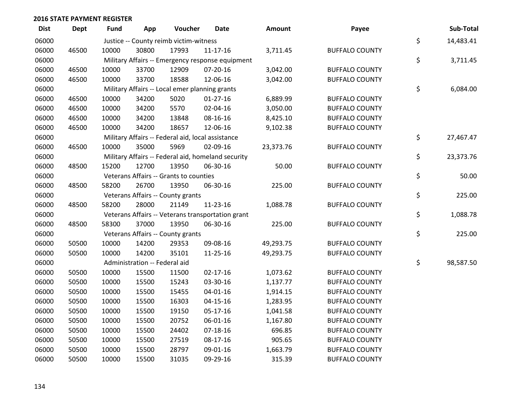| <b>Dist</b> | <b>Dept</b> | <b>Fund</b> | App                           | Voucher                                           | <b>Date</b>                                        | Amount    | Payee                 | Sub-Total       |
|-------------|-------------|-------------|-------------------------------|---------------------------------------------------|----------------------------------------------------|-----------|-----------------------|-----------------|
| 06000       |             |             |                               | Justice -- County reimb victim-witness            |                                                    |           |                       | \$<br>14,483.41 |
| 06000       | 46500       | 10000       | 30800                         | 17993                                             | $11 - 17 - 16$                                     | 3,711.45  | <b>BUFFALO COUNTY</b> |                 |
| 06000       |             |             |                               |                                                   | Military Affairs -- Emergency response equipment   |           |                       | \$<br>3,711.45  |
| 06000       | 46500       | 10000       | 33700                         | 12909                                             | 07-20-16                                           | 3,042.00  | <b>BUFFALO COUNTY</b> |                 |
| 06000       | 46500       | 10000       | 33700                         | 18588                                             | 12-06-16                                           | 3,042.00  | <b>BUFFALO COUNTY</b> |                 |
| 06000       |             |             |                               | Military Affairs -- Local emer planning grants    |                                                    |           |                       | \$<br>6,084.00  |
| 06000       | 46500       | 10000       | 34200                         | 5020                                              | $01-27-16$                                         | 6,889.99  | <b>BUFFALO COUNTY</b> |                 |
| 06000       | 46500       | 10000       | 34200                         | 5570                                              | 02-04-16                                           | 3,050.00  | <b>BUFFALO COUNTY</b> |                 |
| 06000       | 46500       | 10000       | 34200                         | 13848                                             | 08-16-16                                           | 8,425.10  | <b>BUFFALO COUNTY</b> |                 |
| 06000       | 46500       | 10000       | 34200                         | 18657                                             | 12-06-16                                           | 9,102.38  | <b>BUFFALO COUNTY</b> |                 |
| 06000       |             |             |                               | Military Affairs -- Federal aid, local assistance |                                                    |           |                       | \$<br>27,467.47 |
| 06000       | 46500       | 10000       | 35000                         | 5969                                              | 02-09-16                                           | 23,373.76 | <b>BUFFALO COUNTY</b> |                 |
| 06000       |             |             |                               |                                                   | Military Affairs -- Federal aid, homeland security |           |                       | \$<br>23,373.76 |
| 06000       | 48500       | 15200       | 12700                         | 13950                                             | 06-30-16                                           | 50.00     | <b>BUFFALO COUNTY</b> |                 |
| 06000       |             |             |                               | Veterans Affairs -- Grants to counties            |                                                    |           |                       | \$<br>50.00     |
| 06000       | 48500       | 58200       | 26700                         | 13950                                             | 06-30-16                                           | 225.00    | <b>BUFFALO COUNTY</b> |                 |
| 06000       |             |             |                               | Veterans Affairs -- County grants                 |                                                    |           |                       | \$<br>225.00    |
| 06000       | 48500       | 58200       | 28000                         | 21149                                             | 11-23-16                                           | 1,088.78  | <b>BUFFALO COUNTY</b> |                 |
| 06000       |             |             |                               |                                                   | Veterans Affairs -- Veterans transportation grant  |           |                       | \$<br>1,088.78  |
| 06000       | 48500       | 58300       | 37000                         | 13950                                             | 06-30-16                                           | 225.00    | <b>BUFFALO COUNTY</b> |                 |
| 06000       |             |             |                               | Veterans Affairs -- County grants                 |                                                    |           |                       | \$<br>225.00    |
| 06000       | 50500       | 10000       | 14200                         | 29353                                             | 09-08-16                                           | 49,293.75 | <b>BUFFALO COUNTY</b> |                 |
| 06000       | 50500       | 10000       | 14200                         | 35101                                             | 11-25-16                                           | 49,293.75 | <b>BUFFALO COUNTY</b> |                 |
| 06000       |             |             | Administration -- Federal aid |                                                   |                                                    |           |                       | \$<br>98,587.50 |
| 06000       | 50500       | 10000       | 15500                         | 11500                                             | $02 - 17 - 16$                                     | 1,073.62  | <b>BUFFALO COUNTY</b> |                 |
| 06000       | 50500       | 10000       | 15500                         | 15243                                             | 03-30-16                                           | 1,137.77  | <b>BUFFALO COUNTY</b> |                 |
| 06000       | 50500       | 10000       | 15500                         | 15455                                             | $04 - 01 - 16$                                     | 1,914.15  | <b>BUFFALO COUNTY</b> |                 |
| 06000       | 50500       | 10000       | 15500                         | 16303                                             | $04 - 15 - 16$                                     | 1,283.95  | <b>BUFFALO COUNTY</b> |                 |
| 06000       | 50500       | 10000       | 15500                         | 19150                                             | $05-17-16$                                         | 1,041.58  | <b>BUFFALO COUNTY</b> |                 |
| 06000       | 50500       | 10000       | 15500                         | 20752                                             | 06-01-16                                           | 1,167.80  | <b>BUFFALO COUNTY</b> |                 |
| 06000       | 50500       | 10000       | 15500                         | 24402                                             | $07-18-16$                                         | 696.85    | <b>BUFFALO COUNTY</b> |                 |
| 06000       | 50500       | 10000       | 15500                         | 27519                                             | 08-17-16                                           | 905.65    | <b>BUFFALO COUNTY</b> |                 |
| 06000       | 50500       | 10000       | 15500                         | 28797                                             | 09-01-16                                           | 1,663.79  | <b>BUFFALO COUNTY</b> |                 |
| 06000       | 50500       | 10000       | 15500                         | 31035                                             | 09-29-16                                           | 315.39    | <b>BUFFALO COUNTY</b> |                 |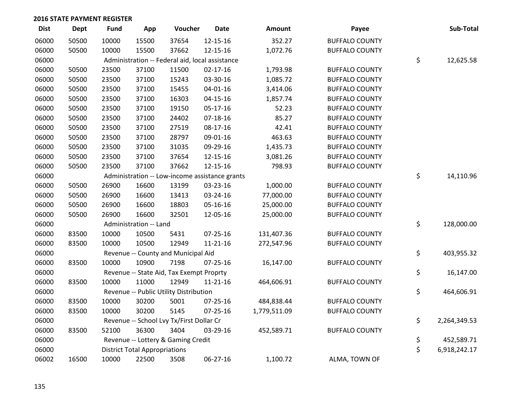| <b>Dist</b> | <b>Dept</b> | <b>Fund</b> | App                                  | Voucher                                         | <b>Date</b>                                    | Amount       | Payee                 | Sub-Total          |
|-------------|-------------|-------------|--------------------------------------|-------------------------------------------------|------------------------------------------------|--------------|-----------------------|--------------------|
| 06000       | 50500       | 10000       | 15500                                | 37654                                           | 12-15-16                                       | 352.27       | <b>BUFFALO COUNTY</b> |                    |
| 06000       | 50500       | 10000       | 15500                                | 37662                                           | 12-15-16                                       | 1,072.76     | <b>BUFFALO COUNTY</b> |                    |
| 06000       |             |             |                                      | Administration -- Federal aid, local assistance |                                                |              |                       | \$<br>12,625.58    |
| 06000       | 50500       | 23500       | 37100                                | 11500                                           | $02 - 17 - 16$                                 | 1,793.98     | <b>BUFFALO COUNTY</b> |                    |
| 06000       | 50500       | 23500       | 37100                                | 15243                                           | 03-30-16                                       | 1,085.72     | <b>BUFFALO COUNTY</b> |                    |
| 06000       | 50500       | 23500       | 37100                                | 15455                                           | $04 - 01 - 16$                                 | 3,414.06     | <b>BUFFALO COUNTY</b> |                    |
| 06000       | 50500       | 23500       | 37100                                | 16303                                           | $04 - 15 - 16$                                 | 1,857.74     | <b>BUFFALO COUNTY</b> |                    |
| 06000       | 50500       | 23500       | 37100                                | 19150                                           | 05-17-16                                       | 52.23        | <b>BUFFALO COUNTY</b> |                    |
| 06000       | 50500       | 23500       | 37100                                | 24402                                           | $07-18-16$                                     | 85.27        | <b>BUFFALO COUNTY</b> |                    |
| 06000       | 50500       | 23500       | 37100                                | 27519                                           | 08-17-16                                       | 42.41        | <b>BUFFALO COUNTY</b> |                    |
| 06000       | 50500       | 23500       | 37100                                | 28797                                           | 09-01-16                                       | 463.63       | <b>BUFFALO COUNTY</b> |                    |
| 06000       | 50500       | 23500       | 37100                                | 31035                                           | 09-29-16                                       | 1,435.73     | <b>BUFFALO COUNTY</b> |                    |
| 06000       | 50500       | 23500       | 37100                                | 37654                                           | 12-15-16                                       | 3,081.26     | <b>BUFFALO COUNTY</b> |                    |
| 06000       | 50500       | 23500       | 37100                                | 37662                                           | 12-15-16                                       | 798.93       | <b>BUFFALO COUNTY</b> |                    |
| 06000       |             |             |                                      |                                                 | Administration -- Low-income assistance grants |              |                       | \$<br>14,110.96    |
| 06000       | 50500       | 26900       | 16600                                | 13199                                           | 03-23-16                                       | 1,000.00     | <b>BUFFALO COUNTY</b> |                    |
| 06000       | 50500       | 26900       | 16600                                | 13413                                           | 03-24-16                                       | 77,000.00    | <b>BUFFALO COUNTY</b> |                    |
| 06000       | 50500       | 26900       | 16600                                | 18803                                           | 05-16-16                                       | 25,000.00    | <b>BUFFALO COUNTY</b> |                    |
| 06000       | 50500       | 26900       | 16600                                | 32501                                           | 12-05-16                                       | 25,000.00    | <b>BUFFALO COUNTY</b> |                    |
| 06000       |             |             | Administration -- Land               |                                                 |                                                |              |                       | \$<br>128,000.00   |
| 06000       | 83500       | 10000       | 10500                                | 5431                                            | $07 - 25 - 16$                                 | 131,407.36   | <b>BUFFALO COUNTY</b> |                    |
| 06000       | 83500       | 10000       | 10500                                | 12949                                           | $11 - 21 - 16$                                 | 272,547.96   | <b>BUFFALO COUNTY</b> |                    |
| 06000       |             |             |                                      | Revenue -- County and Municipal Aid             |                                                |              |                       | \$<br>403,955.32   |
| 06000       | 83500       | 10000       | 10900                                | 7198                                            | $07 - 25 - 16$                                 | 16,147.00    | <b>BUFFALO COUNTY</b> |                    |
| 06000       |             |             |                                      | Revenue -- State Aid, Tax Exempt Proprty        |                                                |              |                       | \$<br>16,147.00    |
| 06000       | 83500       | 10000       | 11000                                | 12949                                           | $11 - 21 - 16$                                 | 464,606.91   | <b>BUFFALO COUNTY</b> |                    |
| 06000       |             |             |                                      | Revenue -- Public Utility Distribution          |                                                |              |                       | \$<br>464,606.91   |
| 06000       | 83500       | 10000       | 30200                                | 5001                                            | $07 - 25 - 16$                                 | 484,838.44   | <b>BUFFALO COUNTY</b> |                    |
| 06000       | 83500       | 10000       | 30200                                | 5145                                            | $07 - 25 - 16$                                 | 1,779,511.09 | <b>BUFFALO COUNTY</b> |                    |
| 06000       |             |             |                                      | Revenue -- School Lvy Tx/First Dollar Cr        |                                                |              |                       | \$<br>2,264,349.53 |
| 06000       | 83500       | 52100       | 36300                                | 3404                                            | 03-29-16                                       | 452,589.71   | <b>BUFFALO COUNTY</b> |                    |
| 06000       |             |             |                                      | Revenue -- Lottery & Gaming Credit              |                                                |              |                       | \$<br>452,589.71   |
| 06000       |             |             | <b>District Total Appropriations</b> |                                                 |                                                |              |                       | \$<br>6,918,242.17 |
| 06002       | 16500       | 10000       | 22500                                | 3508                                            | 06-27-16                                       | 1,100.72     | ALMA, TOWN OF         |                    |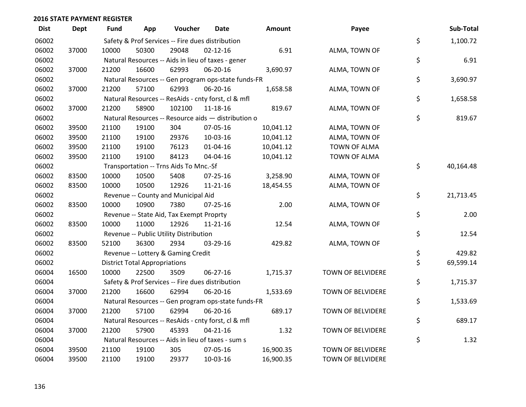| <b>Dist</b> | <b>Dept</b> | <b>Fund</b> | App                                  | Voucher                                             | <b>Date</b>    | <b>Amount</b> | Payee                    | Sub-Total       |
|-------------|-------------|-------------|--------------------------------------|-----------------------------------------------------|----------------|---------------|--------------------------|-----------------|
| 06002       |             |             |                                      | Safety & Prof Services -- Fire dues distribution    |                |               |                          | \$<br>1,100.72  |
| 06002       | 37000       | 10000       | 50300                                | 29048                                               | $02 - 12 - 16$ | 6.91          | ALMA, TOWN OF            |                 |
| 06002       |             |             |                                      | Natural Resources -- Aids in lieu of taxes - gener  |                |               |                          | \$<br>6.91      |
| 06002       | 37000       | 21200       | 16600                                | 62993                                               | 06-20-16       | 3,690.97      | ALMA, TOWN OF            |                 |
| 06002       |             |             |                                      | Natural Resources -- Gen program ops-state funds-FR |                |               |                          | \$<br>3,690.97  |
| 06002       | 37000       | 21200       | 57100                                | 62993                                               | 06-20-16       | 1,658.58      | ALMA, TOWN OF            |                 |
| 06002       |             |             |                                      | Natural Resources -- ResAids - cnty forst, cl & mfl |                |               |                          | \$<br>1,658.58  |
| 06002       | 37000       | 21200       | 58900                                | 102100                                              | 11-18-16       | 819.67        | ALMA, TOWN OF            |                 |
| 06002       |             |             |                                      | Natural Resources -- Resource aids - distribution o |                |               |                          | \$<br>819.67    |
| 06002       | 39500       | 21100       | 19100                                | 304                                                 | 07-05-16       | 10,041.12     | ALMA, TOWN OF            |                 |
| 06002       | 39500       | 21100       | 19100                                | 29376                                               | 10-03-16       | 10,041.12     | ALMA, TOWN OF            |                 |
| 06002       | 39500       | 21100       | 19100                                | 76123                                               | $01 - 04 - 16$ | 10,041.12     | <b>TOWN OF ALMA</b>      |                 |
| 06002       | 39500       | 21100       | 19100                                | 84123                                               | 04-04-16       | 10,041.12     | TOWN OF ALMA             |                 |
| 06002       |             |             |                                      | Transportation -- Trns Aids To Mnc.-Sf              |                |               |                          | \$<br>40,164.48 |
| 06002       | 83500       | 10000       | 10500                                | 5408                                                | 07-25-16       | 3,258.90      | ALMA, TOWN OF            |                 |
| 06002       | 83500       | 10000       | 10500                                | 12926                                               | $11 - 21 - 16$ | 18,454.55     | ALMA, TOWN OF            |                 |
| 06002       |             |             |                                      | Revenue -- County and Municipal Aid                 |                |               |                          | \$<br>21,713.45 |
| 06002       | 83500       | 10000       | 10900                                | 7380                                                | $07 - 25 - 16$ | 2.00          | ALMA, TOWN OF            |                 |
| 06002       |             |             |                                      | Revenue -- State Aid, Tax Exempt Proprty            |                |               |                          | \$<br>2.00      |
| 06002       | 83500       | 10000       | 11000                                | 12926                                               | $11 - 21 - 16$ | 12.54         | ALMA, TOWN OF            |                 |
| 06002       |             |             |                                      | Revenue -- Public Utility Distribution              |                |               |                          | \$<br>12.54     |
| 06002       | 83500       | 52100       | 36300                                | 2934                                                | 03-29-16       | 429.82        | ALMA, TOWN OF            |                 |
| 06002       |             |             |                                      | Revenue -- Lottery & Gaming Credit                  |                |               |                          | \$<br>429.82    |
| 06002       |             |             | <b>District Total Appropriations</b> |                                                     |                |               |                          | \$<br>69,599.14 |
| 06004       | 16500       | 10000       | 22500                                | 3509                                                | 06-27-16       | 1,715.37      | TOWN OF BELVIDERE        |                 |
| 06004       |             |             |                                      | Safety & Prof Services -- Fire dues distribution    |                |               |                          | \$<br>1,715.37  |
| 06004       | 37000       | 21200       | 16600                                | 62994                                               | 06-20-16       | 1,533.69      | TOWN OF BELVIDERE        |                 |
| 06004       |             |             |                                      | Natural Resources -- Gen program ops-state funds-FR |                |               |                          | \$<br>1,533.69  |
| 06004       | 37000       | 21200       | 57100                                | 62994                                               | 06-20-16       | 689.17        | TOWN OF BELVIDERE        |                 |
| 06004       |             |             |                                      | Natural Resources -- ResAids - cnty forst, cl & mfl |                |               |                          | \$<br>689.17    |
| 06004       | 37000       | 21200       | 57900                                | 45393                                               | $04 - 21 - 16$ | 1.32          | TOWN OF BELVIDERE        |                 |
| 06004       |             |             |                                      | Natural Resources -- Aids in lieu of taxes - sum s  |                |               |                          | \$<br>1.32      |
| 06004       | 39500       | 21100       | 19100                                | 305                                                 | 07-05-16       | 16,900.35     | <b>TOWN OF BELVIDERE</b> |                 |
| 06004       | 39500       | 21100       | 19100                                | 29377                                               | 10-03-16       | 16,900.35     | TOWN OF BELVIDERE        |                 |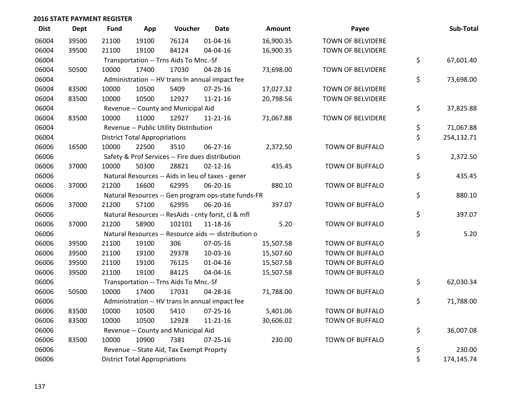| <b>Dist</b> | <b>Dept</b> | <b>Fund</b> | App                                  | Voucher                                  | <b>Date</b>                                         | Amount    | Payee                    | Sub-Total        |
|-------------|-------------|-------------|--------------------------------------|------------------------------------------|-----------------------------------------------------|-----------|--------------------------|------------------|
| 06004       | 39500       | 21100       | 19100                                | 76124                                    | $01 - 04 - 16$                                      | 16,900.35 | <b>TOWN OF BELVIDERE</b> |                  |
| 06004       | 39500       | 21100       | 19100                                | 84124                                    | 04-04-16                                            | 16,900.35 | TOWN OF BELVIDERE        |                  |
| 06004       |             |             |                                      | Transportation -- Trns Aids To Mnc.-Sf   |                                                     |           |                          | \$<br>67,601.40  |
| 06004       | 50500       | 10000       | 17400                                | 17030                                    | 04-28-16                                            | 73,698.00 | <b>TOWN OF BELVIDERE</b> |                  |
| 06004       |             |             |                                      |                                          | Administration -- HV trans In annual impact fee     |           |                          | \$<br>73,698.00  |
| 06004       | 83500       | 10000       | 10500                                | 5409                                     | $07 - 25 - 16$                                      | 17,027.32 | <b>TOWN OF BELVIDERE</b> |                  |
| 06004       | 83500       | 10000       | 10500                                | 12927                                    | $11 - 21 - 16$                                      | 20,798.56 | TOWN OF BELVIDERE        |                  |
| 06004       |             |             |                                      | Revenue -- County and Municipal Aid      |                                                     |           |                          | \$<br>37,825.88  |
| 06004       | 83500       | 10000       | 11000                                | 12927                                    | $11 - 21 - 16$                                      | 71,067.88 | <b>TOWN OF BELVIDERE</b> |                  |
| 06004       |             |             |                                      | Revenue -- Public Utility Distribution   |                                                     |           |                          | \$<br>71,067.88  |
| 06004       |             |             | <b>District Total Appropriations</b> |                                          |                                                     |           |                          | \$<br>254,132.71 |
| 06006       | 16500       | 10000       | 22500                                | 3510                                     | 06-27-16                                            | 2,372.50  | <b>TOWN OF BUFFALO</b>   |                  |
| 06006       |             |             |                                      |                                          | Safety & Prof Services -- Fire dues distribution    |           |                          | \$<br>2,372.50   |
| 06006       | 37000       | 10000       | 50300                                | 28821                                    | $02 - 12 - 16$                                      | 435.45    | <b>TOWN OF BUFFALO</b>   |                  |
| 06006       |             |             |                                      |                                          | Natural Resources -- Aids in lieu of taxes - gener  |           |                          | \$<br>435.45     |
| 06006       | 37000       | 21200       | 16600                                | 62995                                    | 06-20-16                                            | 880.10    | <b>TOWN OF BUFFALO</b>   |                  |
| 06006       |             |             |                                      |                                          | Natural Resources -- Gen program ops-state funds-FR |           |                          | \$<br>880.10     |
| 06006       | 37000       | 21200       | 57100                                | 62995                                    | 06-20-16                                            | 397.07    | <b>TOWN OF BUFFALO</b>   |                  |
| 06006       |             |             |                                      |                                          | Natural Resources -- ResAids - cnty forst, cl & mfl |           |                          | \$<br>397.07     |
| 06006       | 37000       | 21200       | 58900                                | 102101                                   | $11 - 18 - 16$                                      | 5.20      | TOWN OF BUFFALO          |                  |
| 06006       |             |             |                                      |                                          | Natural Resources -- Resource aids - distribution o |           |                          | \$<br>5.20       |
| 06006       | 39500       | 21100       | 19100                                | 306                                      | 07-05-16                                            | 15,507.58 | TOWN OF BUFFALO          |                  |
| 06006       | 39500       | 21100       | 19100                                | 29378                                    | 10-03-16                                            | 15,507.60 | <b>TOWN OF BUFFALO</b>   |                  |
| 06006       | 39500       | 21100       | 19100                                | 76125                                    | $01 - 04 - 16$                                      | 15,507.58 | <b>TOWN OF BUFFALO</b>   |                  |
| 06006       | 39500       | 21100       | 19100                                | 84125                                    | 04-04-16                                            | 15,507.58 | <b>TOWN OF BUFFALO</b>   |                  |
| 06006       |             |             |                                      | Transportation -- Trns Aids To Mnc.-Sf   |                                                     |           |                          | \$<br>62,030.34  |
| 06006       | 50500       | 10000       | 17400                                | 17031                                    | 04-28-16                                            | 71,788.00 | TOWN OF BUFFALO          |                  |
| 06006       |             |             |                                      |                                          | Administration -- HV trans In annual impact fee     |           |                          | \$<br>71,788.00  |
| 06006       | 83500       | 10000       | 10500                                | 5410                                     | $07 - 25 - 16$                                      | 5,401.06  | <b>TOWN OF BUFFALO</b>   |                  |
| 06006       | 83500       | 10000       | 10500                                | 12928                                    | $11 - 21 - 16$                                      | 30,606.02 | TOWN OF BUFFALO          |                  |
| 06006       |             |             |                                      | Revenue -- County and Municipal Aid      |                                                     |           |                          | \$<br>36,007.08  |
| 06006       | 83500       | 10000       | 10900                                | 7381                                     | $07 - 25 - 16$                                      | 230.00    | <b>TOWN OF BUFFALO</b>   |                  |
| 06006       |             |             |                                      | Revenue -- State Aid, Tax Exempt Proprty |                                                     |           |                          | \$<br>230.00     |
| 06006       |             |             | <b>District Total Appropriations</b> |                                          |                                                     |           |                          | \$<br>174,145.74 |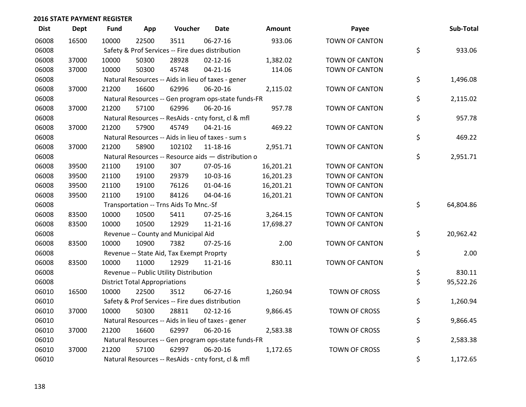| <b>Dist</b> | <b>Dept</b> | <b>Fund</b> | App                                  | Voucher                                             | Date           | <b>Amount</b> | Payee                 | Sub-Total       |
|-------------|-------------|-------------|--------------------------------------|-----------------------------------------------------|----------------|---------------|-----------------------|-----------------|
| 06008       | 16500       | 10000       | 22500                                | 3511                                                | 06-27-16       | 933.06        | <b>TOWN OF CANTON</b> |                 |
| 06008       |             |             |                                      | Safety & Prof Services -- Fire dues distribution    |                |               |                       | \$<br>933.06    |
| 06008       | 37000       | 10000       | 50300                                | 28928                                               | $02 - 12 - 16$ | 1,382.02      | TOWN OF CANTON        |                 |
| 06008       | 37000       | 10000       | 50300                                | 45748                                               | $04 - 21 - 16$ | 114.06        | <b>TOWN OF CANTON</b> |                 |
| 06008       |             |             |                                      | Natural Resources -- Aids in lieu of taxes - gener  |                |               |                       | \$<br>1,496.08  |
| 06008       | 37000       | 21200       | 16600                                | 62996                                               | 06-20-16       | 2,115.02      | TOWN OF CANTON        |                 |
| 06008       |             |             |                                      | Natural Resources -- Gen program ops-state funds-FR |                |               |                       | \$<br>2,115.02  |
| 06008       | 37000       | 21200       | 57100                                | 62996                                               | 06-20-16       | 957.78        | <b>TOWN OF CANTON</b> |                 |
| 06008       |             |             |                                      | Natural Resources -- ResAids - cnty forst, cl & mfl |                |               |                       | \$<br>957.78    |
| 06008       | 37000       | 21200       | 57900                                | 45749                                               | $04 - 21 - 16$ | 469.22        | TOWN OF CANTON        |                 |
| 06008       |             |             |                                      | Natural Resources -- Aids in lieu of taxes - sum s  |                |               |                       | \$<br>469.22    |
| 06008       | 37000       | 21200       | 58900                                | 102102                                              | 11-18-16       | 2,951.71      | <b>TOWN OF CANTON</b> |                 |
| 06008       |             |             |                                      | Natural Resources -- Resource aids - distribution o |                |               |                       | \$<br>2,951.71  |
| 06008       | 39500       | 21100       | 19100                                | 307                                                 | 07-05-16       | 16,201.21     | TOWN OF CANTON        |                 |
| 06008       | 39500       | 21100       | 19100                                | 29379                                               | 10-03-16       | 16,201.23     | TOWN OF CANTON        |                 |
| 06008       | 39500       | 21100       | 19100                                | 76126                                               | $01 - 04 - 16$ | 16,201.21     | <b>TOWN OF CANTON</b> |                 |
| 06008       | 39500       | 21100       | 19100                                | 84126                                               | 04-04-16       | 16,201.21     | TOWN OF CANTON        |                 |
| 06008       |             |             |                                      | Transportation -- Trns Aids To Mnc.-Sf              |                |               |                       | \$<br>64,804.86 |
| 06008       | 83500       | 10000       | 10500                                | 5411                                                | 07-25-16       | 3,264.15      | TOWN OF CANTON        |                 |
| 06008       | 83500       | 10000       | 10500                                | 12929                                               | $11 - 21 - 16$ | 17,698.27     | <b>TOWN OF CANTON</b> |                 |
| 06008       |             |             |                                      | Revenue -- County and Municipal Aid                 |                |               |                       | \$<br>20,962.42 |
| 06008       | 83500       | 10000       | 10900                                | 7382                                                | $07 - 25 - 16$ | 2.00          | TOWN OF CANTON        |                 |
| 06008       |             |             |                                      | Revenue -- State Aid, Tax Exempt Proprty            |                |               |                       | \$<br>2.00      |
| 06008       | 83500       | 10000       | 11000                                | 12929                                               | $11 - 21 - 16$ | 830.11        | <b>TOWN OF CANTON</b> |                 |
| 06008       |             |             |                                      | Revenue -- Public Utility Distribution              |                |               |                       | \$<br>830.11    |
| 06008       |             |             | <b>District Total Appropriations</b> |                                                     |                |               |                       | \$<br>95,522.26 |
| 06010       | 16500       | 10000       | 22500                                | 3512                                                | 06-27-16       | 1,260.94      | TOWN OF CROSS         |                 |
| 06010       |             |             |                                      | Safety & Prof Services -- Fire dues distribution    |                |               |                       | \$<br>1,260.94  |
| 06010       | 37000       | 10000       | 50300                                | 28811                                               | $02 - 12 - 16$ | 9,866.45      | <b>TOWN OF CROSS</b>  |                 |
| 06010       |             |             |                                      | Natural Resources -- Aids in lieu of taxes - gener  |                |               |                       | \$<br>9,866.45  |
| 06010       | 37000       | 21200       | 16600                                | 62997                                               | 06-20-16       | 2,583.38      | <b>TOWN OF CROSS</b>  |                 |
| 06010       |             |             |                                      | Natural Resources -- Gen program ops-state funds-FR |                |               |                       | \$<br>2,583.38  |
| 06010       | 37000       | 21200       | 57100                                | 62997                                               | 06-20-16       | 1,172.65      | <b>TOWN OF CROSS</b>  |                 |
| 06010       |             |             |                                      | Natural Resources -- ResAids - cnty forst, cl & mfl |                |               |                       | \$<br>1,172.65  |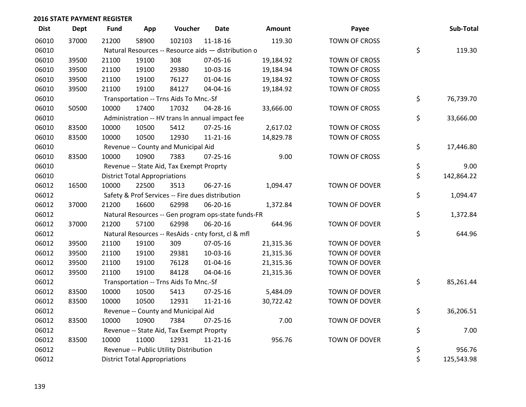| <b>Dist</b> | <b>Dept</b> | <b>Fund</b> | App                                  | Voucher                                             | <b>Date</b>    | <b>Amount</b> | Payee                | Sub-Total        |
|-------------|-------------|-------------|--------------------------------------|-----------------------------------------------------|----------------|---------------|----------------------|------------------|
| 06010       | 37000       | 21200       | 58900                                | 102103                                              | $11 - 18 - 16$ | 119.30        | <b>TOWN OF CROSS</b> |                  |
| 06010       |             |             |                                      | Natural Resources -- Resource aids - distribution o |                |               |                      | \$<br>119.30     |
| 06010       | 39500       | 21100       | 19100                                | 308                                                 | 07-05-16       | 19,184.92     | <b>TOWN OF CROSS</b> |                  |
| 06010       | 39500       | 21100       | 19100                                | 29380                                               | 10-03-16       | 19,184.94     | <b>TOWN OF CROSS</b> |                  |
| 06010       | 39500       | 21100       | 19100                                | 76127                                               | 01-04-16       | 19,184.92     | <b>TOWN OF CROSS</b> |                  |
| 06010       | 39500       | 21100       | 19100                                | 84127                                               | 04-04-16       | 19,184.92     | <b>TOWN OF CROSS</b> |                  |
| 06010       |             |             |                                      | Transportation -- Trns Aids To Mnc.-Sf              |                |               |                      | \$<br>76,739.70  |
| 06010       | 50500       | 10000       | 17400                                | 17032                                               | 04-28-16       | 33,666.00     | <b>TOWN OF CROSS</b> |                  |
| 06010       |             |             |                                      | Administration -- HV trans In annual impact fee     |                |               |                      | \$<br>33,666.00  |
| 06010       | 83500       | 10000       | 10500                                | 5412                                                | $07 - 25 - 16$ | 2,617.02      | TOWN OF CROSS        |                  |
| 06010       | 83500       | 10000       | 10500                                | 12930                                               | 11-21-16       | 14,829.78     | TOWN OF CROSS        |                  |
| 06010       |             |             |                                      | Revenue -- County and Municipal Aid                 |                |               |                      | \$<br>17,446.80  |
| 06010       | 83500       | 10000       | 10900                                | 7383                                                | $07 - 25 - 16$ | 9.00          | <b>TOWN OF CROSS</b> |                  |
| 06010       |             |             |                                      | Revenue -- State Aid, Tax Exempt Proprty            |                |               |                      | \$<br>9.00       |
| 06010       |             |             | <b>District Total Appropriations</b> |                                                     |                |               |                      | \$<br>142,864.22 |
| 06012       | 16500       | 10000       | 22500                                | 3513                                                | 06-27-16       | 1,094.47      | TOWN OF DOVER        |                  |
| 06012       |             |             |                                      | Safety & Prof Services -- Fire dues distribution    |                |               |                      | \$<br>1,094.47   |
| 06012       | 37000       | 21200       | 16600                                | 62998                                               | 06-20-16       | 1,372.84      | TOWN OF DOVER        |                  |
| 06012       |             |             |                                      | Natural Resources -- Gen program ops-state funds-FR |                |               |                      | \$<br>1,372.84   |
| 06012       | 37000       | 21200       | 57100                                | 62998                                               | 06-20-16       | 644.96        | TOWN OF DOVER        |                  |
| 06012       |             |             |                                      | Natural Resources -- ResAids - cnty forst, cl & mfl |                |               |                      | \$<br>644.96     |
| 06012       | 39500       | 21100       | 19100                                | 309                                                 | 07-05-16       | 21,315.36     | TOWN OF DOVER        |                  |
| 06012       | 39500       | 21100       | 19100                                | 29381                                               | 10-03-16       | 21,315.36     | TOWN OF DOVER        |                  |
| 06012       | 39500       | 21100       | 19100                                | 76128                                               | 01-04-16       | 21,315.36     | TOWN OF DOVER        |                  |
| 06012       | 39500       | 21100       | 19100                                | 84128                                               | 04-04-16       | 21,315.36     | TOWN OF DOVER        |                  |
| 06012       |             |             |                                      | Transportation -- Trns Aids To Mnc.-Sf              |                |               |                      | \$<br>85,261.44  |
| 06012       | 83500       | 10000       | 10500                                | 5413                                                | $07 - 25 - 16$ | 5,484.09      | TOWN OF DOVER        |                  |
| 06012       | 83500       | 10000       | 10500                                | 12931                                               | 11-21-16       | 30,722.42     | TOWN OF DOVER        |                  |
| 06012       |             |             |                                      | Revenue -- County and Municipal Aid                 |                |               |                      | \$<br>36,206.51  |
| 06012       | 83500       | 10000       | 10900                                | 7384                                                | $07 - 25 - 16$ | 7.00          | TOWN OF DOVER        |                  |
| 06012       |             |             |                                      | Revenue -- State Aid, Tax Exempt Proprty            |                |               |                      | \$<br>7.00       |
| 06012       | 83500       | 10000       | 11000                                | 12931                                               | 11-21-16       | 956.76        | TOWN OF DOVER        |                  |
| 06012       |             |             |                                      | Revenue -- Public Utility Distribution              |                |               |                      | \$<br>956.76     |
| 06012       |             |             | <b>District Total Appropriations</b> |                                                     |                |               |                      | \$<br>125,543.98 |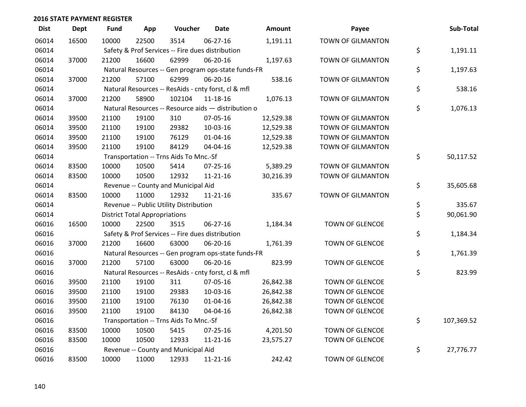| <b>Dist</b> | <b>Dept</b> | <b>Fund</b> | App                                  | Voucher                                             | <b>Date</b>    | <b>Amount</b> | Payee                    | Sub-Total        |
|-------------|-------------|-------------|--------------------------------------|-----------------------------------------------------|----------------|---------------|--------------------------|------------------|
| 06014       | 16500       | 10000       | 22500                                | 3514                                                | 06-27-16       | 1,191.11      | <b>TOWN OF GILMANTON</b> |                  |
| 06014       |             |             |                                      | Safety & Prof Services -- Fire dues distribution    |                |               |                          | \$<br>1,191.11   |
| 06014       | 37000       | 21200       | 16600                                | 62999                                               | 06-20-16       | 1,197.63      | <b>TOWN OF GILMANTON</b> |                  |
| 06014       |             |             |                                      | Natural Resources -- Gen program ops-state funds-FR |                |               |                          | \$<br>1,197.63   |
| 06014       | 37000       | 21200       | 57100                                | 62999                                               | 06-20-16       | 538.16        | TOWN OF GILMANTON        |                  |
| 06014       |             |             |                                      | Natural Resources -- ResAids - cnty forst, cl & mfl |                |               |                          | \$<br>538.16     |
| 06014       | 37000       | 21200       | 58900                                | 102104                                              | 11-18-16       | 1,076.13      | TOWN OF GILMANTON        |                  |
| 06014       |             |             |                                      | Natural Resources -- Resource aids - distribution o |                |               |                          | \$<br>1,076.13   |
| 06014       | 39500       | 21100       | 19100                                | 310                                                 | 07-05-16       | 12,529.38     | <b>TOWN OF GILMANTON</b> |                  |
| 06014       | 39500       | 21100       | 19100                                | 29382                                               | 10-03-16       | 12,529.38     | <b>TOWN OF GILMANTON</b> |                  |
| 06014       | 39500       | 21100       | 19100                                | 76129                                               | 01-04-16       | 12,529.38     | <b>TOWN OF GILMANTON</b> |                  |
| 06014       | 39500       | 21100       | 19100                                | 84129                                               | 04-04-16       | 12,529.38     | <b>TOWN OF GILMANTON</b> |                  |
| 06014       |             |             |                                      | Transportation -- Trns Aids To Mnc.-Sf              |                |               |                          | \$<br>50,117.52  |
| 06014       | 83500       | 10000       | 10500                                | 5414                                                | $07 - 25 - 16$ | 5,389.29      | <b>TOWN OF GILMANTON</b> |                  |
| 06014       | 83500       | 10000       | 10500                                | 12932                                               | $11 - 21 - 16$ | 30,216.39     | <b>TOWN OF GILMANTON</b> |                  |
| 06014       |             |             |                                      | Revenue -- County and Municipal Aid                 |                |               |                          | \$<br>35,605.68  |
| 06014       | 83500       | 10000       | 11000                                | 12932                                               | $11 - 21 - 16$ | 335.67        | <b>TOWN OF GILMANTON</b> |                  |
| 06014       |             |             |                                      | Revenue -- Public Utility Distribution              |                |               |                          | \$<br>335.67     |
| 06014       |             |             | <b>District Total Appropriations</b> |                                                     |                |               |                          | \$<br>90,061.90  |
| 06016       | 16500       | 10000       | 22500                                | 3515                                                | 06-27-16       | 1,184.34      | TOWN OF GLENCOE          |                  |
| 06016       |             |             |                                      | Safety & Prof Services -- Fire dues distribution    |                |               |                          | \$<br>1,184.34   |
| 06016       | 37000       | 21200       | 16600                                | 63000                                               | 06-20-16       | 1,761.39      | TOWN OF GLENCOE          |                  |
| 06016       |             |             |                                      | Natural Resources -- Gen program ops-state funds-FR |                |               |                          | \$<br>1,761.39   |
| 06016       | 37000       | 21200       | 57100                                | 63000                                               | 06-20-16       | 823.99        | TOWN OF GLENCOE          |                  |
| 06016       |             |             |                                      | Natural Resources -- ResAids - cnty forst, cl & mfl |                |               |                          | \$<br>823.99     |
| 06016       | 39500       | 21100       | 19100                                | 311                                                 | 07-05-16       | 26,842.38     | <b>TOWN OF GLENCOE</b>   |                  |
| 06016       | 39500       | 21100       | 19100                                | 29383                                               | 10-03-16       | 26,842.38     | TOWN OF GLENCOE          |                  |
| 06016       | 39500       | 21100       | 19100                                | 76130                                               | $01 - 04 - 16$ | 26,842.38     | TOWN OF GLENCOE          |                  |
| 06016       | 39500       | 21100       | 19100                                | 84130                                               | 04-04-16       | 26,842.38     | TOWN OF GLENCOE          |                  |
| 06016       |             |             |                                      | Transportation -- Trns Aids To Mnc.-Sf              |                |               |                          | \$<br>107,369.52 |
| 06016       | 83500       | 10000       | 10500                                | 5415                                                | $07 - 25 - 16$ | 4,201.50      | <b>TOWN OF GLENCOE</b>   |                  |
| 06016       | 83500       | 10000       | 10500                                | 12933                                               | $11 - 21 - 16$ | 23,575.27     | TOWN OF GLENCOE          |                  |
| 06016       |             |             |                                      | Revenue -- County and Municipal Aid                 |                |               |                          | \$<br>27,776.77  |
| 06016       | 83500       | 10000       | 11000                                | 12933                                               | $11 - 21 - 16$ | 242.42        | <b>TOWN OF GLENCOE</b>   |                  |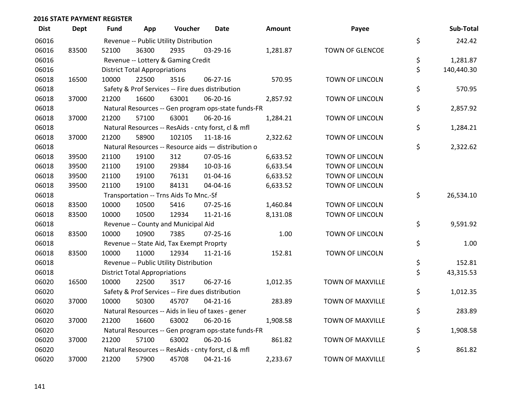| <b>Dist</b> | <b>Dept</b> | <b>Fund</b> | App                                  | Voucher                                  | <b>Date</b>                                         | <b>Amount</b> | Payee                   | Sub-Total        |
|-------------|-------------|-------------|--------------------------------------|------------------------------------------|-----------------------------------------------------|---------------|-------------------------|------------------|
| 06016       |             |             |                                      | Revenue -- Public Utility Distribution   |                                                     |               |                         | \$<br>242.42     |
| 06016       | 83500       | 52100       | 36300                                | 2935                                     | 03-29-16                                            | 1,281.87      | TOWN OF GLENCOE         |                  |
| 06016       |             |             |                                      | Revenue -- Lottery & Gaming Credit       |                                                     |               |                         | \$<br>1,281.87   |
| 06016       |             |             | <b>District Total Appropriations</b> |                                          |                                                     |               |                         | \$<br>140,440.30 |
| 06018       | 16500       | 10000       | 22500                                | 3516                                     | 06-27-16                                            | 570.95        | TOWN OF LINCOLN         |                  |
| 06018       |             |             |                                      |                                          | Safety & Prof Services -- Fire dues distribution    |               |                         | \$<br>570.95     |
| 06018       | 37000       | 21200       | 16600                                | 63001                                    | 06-20-16                                            | 2,857.92      | <b>TOWN OF LINCOLN</b>  |                  |
| 06018       |             |             |                                      |                                          | Natural Resources -- Gen program ops-state funds-FR |               |                         | \$<br>2,857.92   |
| 06018       | 37000       | 21200       | 57100                                | 63001                                    | 06-20-16                                            | 1,284.21      | TOWN OF LINCOLN         |                  |
| 06018       |             |             |                                      |                                          | Natural Resources -- ResAids - cnty forst, cl & mfl |               |                         | \$<br>1,284.21   |
| 06018       | 37000       | 21200       | 58900                                | 102105                                   | 11-18-16                                            | 2,322.62      | TOWN OF LINCOLN         |                  |
| 06018       |             |             |                                      |                                          | Natural Resources -- Resource aids - distribution o |               |                         | \$<br>2,322.62   |
| 06018       | 39500       | 21100       | 19100                                | 312                                      | 07-05-16                                            | 6,633.52      | TOWN OF LINCOLN         |                  |
| 06018       | 39500       | 21100       | 19100                                | 29384                                    | 10-03-16                                            | 6,633.54      | <b>TOWN OF LINCOLN</b>  |                  |
| 06018       | 39500       | 21100       | 19100                                | 76131                                    | $01 - 04 - 16$                                      | 6,633.52      | <b>TOWN OF LINCOLN</b>  |                  |
| 06018       | 39500       | 21100       | 19100                                | 84131                                    | 04-04-16                                            | 6,633.52      | TOWN OF LINCOLN         |                  |
| 06018       |             |             |                                      | Transportation -- Trns Aids To Mnc.-Sf   |                                                     |               |                         | \$<br>26,534.10  |
| 06018       | 83500       | 10000       | 10500                                | 5416                                     | 07-25-16                                            | 1,460.84      | <b>TOWN OF LINCOLN</b>  |                  |
| 06018       | 83500       | 10000       | 10500                                | 12934                                    | $11 - 21 - 16$                                      | 8,131.08      | TOWN OF LINCOLN         |                  |
| 06018       |             |             |                                      | Revenue -- County and Municipal Aid      |                                                     |               |                         | \$<br>9,591.92   |
| 06018       | 83500       | 10000       | 10900                                | 7385                                     | $07 - 25 - 16$                                      | 1.00          | <b>TOWN OF LINCOLN</b>  |                  |
| 06018       |             |             |                                      | Revenue -- State Aid, Tax Exempt Proprty |                                                     |               |                         | \$<br>1.00       |
| 06018       | 83500       | 10000       | 11000                                | 12934                                    | $11 - 21 - 16$                                      | 152.81        | TOWN OF LINCOLN         |                  |
| 06018       |             |             |                                      | Revenue -- Public Utility Distribution   |                                                     |               |                         | \$<br>152.81     |
| 06018       |             |             | <b>District Total Appropriations</b> |                                          |                                                     |               |                         | \$<br>43,315.53  |
| 06020       | 16500       | 10000       | 22500                                | 3517                                     | 06-27-16                                            | 1,012.35      | TOWN OF MAXVILLE        |                  |
| 06020       |             |             |                                      |                                          | Safety & Prof Services -- Fire dues distribution    |               |                         | \$<br>1,012.35   |
| 06020       | 37000       | 10000       | 50300                                | 45707                                    | $04 - 21 - 16$                                      | 283.89        | TOWN OF MAXVILLE        |                  |
| 06020       |             |             |                                      |                                          | Natural Resources -- Aids in lieu of taxes - gener  |               |                         | \$<br>283.89     |
| 06020       | 37000       | 21200       | 16600                                | 63002                                    | 06-20-16                                            | 1,908.58      | TOWN OF MAXVILLE        |                  |
| 06020       |             |             |                                      |                                          | Natural Resources -- Gen program ops-state funds-FR |               |                         | \$<br>1,908.58   |
| 06020       | 37000       | 21200       | 57100                                | 63002                                    | 06-20-16                                            | 861.82        | TOWN OF MAXVILLE        |                  |
| 06020       |             |             |                                      |                                          | Natural Resources -- ResAids - cnty forst, cl & mfl |               |                         | \$<br>861.82     |
| 06020       | 37000       | 21200       | 57900                                | 45708                                    | $04 - 21 - 16$                                      | 2,233.67      | <b>TOWN OF MAXVILLE</b> |                  |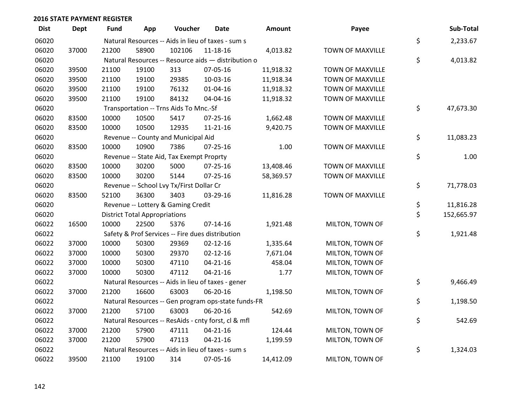| <b>Dist</b> | <b>Dept</b> | <b>Fund</b> | App                                  | Voucher                                  | <b>Date</b>                                         | Amount    | Payee                   | Sub-Total        |
|-------------|-------------|-------------|--------------------------------------|------------------------------------------|-----------------------------------------------------|-----------|-------------------------|------------------|
| 06020       |             |             |                                      |                                          | Natural Resources -- Aids in lieu of taxes - sum s  |           |                         | \$<br>2,233.67   |
| 06020       | 37000       | 21200       | 58900                                | 102106                                   | 11-18-16                                            | 4,013.82  | TOWN OF MAXVILLE        |                  |
| 06020       |             |             |                                      |                                          | Natural Resources -- Resource aids - distribution o |           |                         | \$<br>4,013.82   |
| 06020       | 39500       | 21100       | 19100                                | 313                                      | 07-05-16                                            | 11,918.32 | TOWN OF MAXVILLE        |                  |
| 06020       | 39500       | 21100       | 19100                                | 29385                                    | 10-03-16                                            | 11,918.34 | <b>TOWN OF MAXVILLE</b> |                  |
| 06020       | 39500       | 21100       | 19100                                | 76132                                    | $01 - 04 - 16$                                      | 11,918.32 | TOWN OF MAXVILLE        |                  |
| 06020       | 39500       | 21100       | 19100                                | 84132                                    | 04-04-16                                            | 11,918.32 | TOWN OF MAXVILLE        |                  |
| 06020       |             |             |                                      | Transportation -- Trns Aids To Mnc.-Sf   |                                                     |           |                         | \$<br>47,673.30  |
| 06020       | 83500       | 10000       | 10500                                | 5417                                     | 07-25-16                                            | 1,662.48  | TOWN OF MAXVILLE        |                  |
| 06020       | 83500       | 10000       | 10500                                | 12935                                    | $11 - 21 - 16$                                      | 9,420.75  | TOWN OF MAXVILLE        |                  |
| 06020       |             |             |                                      | Revenue -- County and Municipal Aid      |                                                     |           |                         | \$<br>11,083.23  |
| 06020       | 83500       | 10000       | 10900                                | 7386                                     | 07-25-16                                            | 1.00      | TOWN OF MAXVILLE        |                  |
| 06020       |             |             |                                      | Revenue -- State Aid, Tax Exempt Proprty |                                                     |           |                         | \$<br>1.00       |
| 06020       | 83500       | 10000       | 30200                                | 5000                                     | 07-25-16                                            | 13,408.46 | TOWN OF MAXVILLE        |                  |
| 06020       | 83500       | 10000       | 30200                                | 5144                                     | $07 - 25 - 16$                                      | 58,369.57 | TOWN OF MAXVILLE        |                  |
| 06020       |             |             |                                      | Revenue -- School Lvy Tx/First Dollar Cr |                                                     |           |                         | \$<br>71,778.03  |
| 06020       | 83500       | 52100       | 36300                                | 3403                                     | 03-29-16                                            | 11,816.28 | TOWN OF MAXVILLE        |                  |
| 06020       |             |             |                                      | Revenue -- Lottery & Gaming Credit       |                                                     |           |                         | \$<br>11,816.28  |
| 06020       |             |             | <b>District Total Appropriations</b> |                                          |                                                     |           |                         | \$<br>152,665.97 |
| 06022       | 16500       | 10000       | 22500                                | 5376                                     | $07-14-16$                                          | 1,921.48  | MILTON, TOWN OF         |                  |
| 06022       |             |             |                                      |                                          | Safety & Prof Services -- Fire dues distribution    |           |                         | \$<br>1,921.48   |
| 06022       | 37000       | 10000       | 50300                                | 29369                                    | $02 - 12 - 16$                                      | 1,335.64  | MILTON, TOWN OF         |                  |
| 06022       | 37000       | 10000       | 50300                                | 29370                                    | $02 - 12 - 16$                                      | 7,671.04  | MILTON, TOWN OF         |                  |
| 06022       | 37000       | 10000       | 50300                                | 47110                                    | $04 - 21 - 16$                                      | 458.04    | MILTON, TOWN OF         |                  |
| 06022       | 37000       | 10000       | 50300                                | 47112                                    | $04 - 21 - 16$                                      | 1.77      | MILTON, TOWN OF         |                  |
| 06022       |             |             |                                      |                                          | Natural Resources -- Aids in lieu of taxes - gener  |           |                         | \$<br>9,466.49   |
| 06022       | 37000       | 21200       | 16600                                | 63003                                    | 06-20-16                                            | 1,198.50  | MILTON, TOWN OF         |                  |
| 06022       |             |             |                                      |                                          | Natural Resources -- Gen program ops-state funds-FR |           |                         | \$<br>1,198.50   |
| 06022       | 37000       | 21200       | 57100                                | 63003                                    | 06-20-16                                            | 542.69    | MILTON, TOWN OF         |                  |
| 06022       |             |             |                                      |                                          | Natural Resources -- ResAids - cnty forst, cl & mfl |           |                         | \$<br>542.69     |
| 06022       | 37000       | 21200       | 57900                                | 47111                                    | $04 - 21 - 16$                                      | 124.44    | MILTON, TOWN OF         |                  |
| 06022       | 37000       | 21200       | 57900                                | 47113                                    | $04 - 21 - 16$                                      | 1,199.59  | MILTON, TOWN OF         |                  |
| 06022       |             |             |                                      |                                          | Natural Resources -- Aids in lieu of taxes - sum s  |           |                         | \$<br>1,324.03   |
| 06022       | 39500       | 21100       | 19100                                | 314                                      | 07-05-16                                            | 14,412.09 | MILTON, TOWN OF         |                  |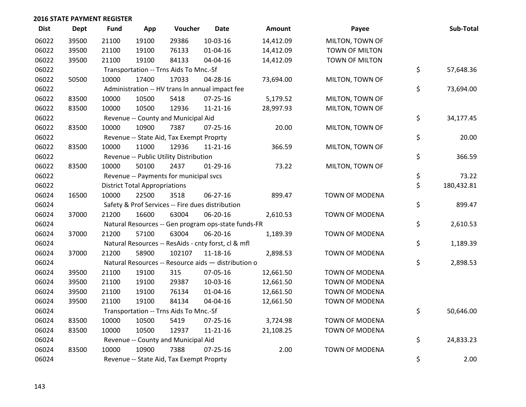| <b>Dist</b> | <b>Dept</b> | <b>Fund</b> | App                                  | Voucher                                  | <b>Date</b>                                         | Amount    | Payee                 | Sub-Total        |
|-------------|-------------|-------------|--------------------------------------|------------------------------------------|-----------------------------------------------------|-----------|-----------------------|------------------|
| 06022       | 39500       | 21100       | 19100                                | 29386                                    | $10-03-16$                                          | 14,412.09 | MILTON, TOWN OF       |                  |
| 06022       | 39500       | 21100       | 19100                                | 76133                                    | 01-04-16                                            | 14,412.09 | TOWN OF MILTON        |                  |
| 06022       | 39500       | 21100       | 19100                                | 84133                                    | 04-04-16                                            | 14,412.09 | TOWN OF MILTON        |                  |
| 06022       |             |             |                                      | Transportation -- Trns Aids To Mnc.-Sf   |                                                     |           |                       | \$<br>57,648.36  |
| 06022       | 50500       | 10000       | 17400                                | 17033                                    | 04-28-16                                            | 73,694.00 | MILTON, TOWN OF       |                  |
| 06022       |             |             |                                      |                                          | Administration -- HV trans In annual impact fee     |           |                       | \$<br>73,694.00  |
| 06022       | 83500       | 10000       | 10500                                | 5418                                     | 07-25-16                                            | 5,179.52  | MILTON, TOWN OF       |                  |
| 06022       | 83500       | 10000       | 10500                                | 12936                                    | $11 - 21 - 16$                                      | 28,997.93 | MILTON, TOWN OF       |                  |
| 06022       |             |             |                                      | Revenue -- County and Municipal Aid      |                                                     |           |                       | \$<br>34,177.45  |
| 06022       | 83500       | 10000       | 10900                                | 7387                                     | 07-25-16                                            | 20.00     | MILTON, TOWN OF       |                  |
| 06022       |             |             |                                      | Revenue -- State Aid, Tax Exempt Proprty |                                                     |           |                       | \$<br>20.00      |
| 06022       | 83500       | 10000       | 11000                                | 12936                                    | $11 - 21 - 16$                                      | 366.59    | MILTON, TOWN OF       |                  |
| 06022       |             |             |                                      | Revenue -- Public Utility Distribution   |                                                     |           |                       | \$<br>366.59     |
| 06022       | 83500       | 10000       | 50100                                | 2437                                     | 01-29-16                                            | 73.22     | MILTON, TOWN OF       |                  |
| 06022       |             |             |                                      | Revenue -- Payments for municipal svcs   |                                                     |           |                       | \$<br>73.22      |
| 06022       |             |             | <b>District Total Appropriations</b> |                                          |                                                     |           |                       | \$<br>180,432.81 |
| 06024       | 16500       | 10000       | 22500                                | 3518                                     | 06-27-16                                            | 899.47    | TOWN OF MODENA        |                  |
| 06024       |             |             |                                      |                                          | Safety & Prof Services -- Fire dues distribution    |           |                       | \$<br>899.47     |
| 06024       | 37000       | 21200       | 16600                                | 63004                                    | 06-20-16                                            | 2,610.53  | TOWN OF MODENA        |                  |
| 06024       |             |             |                                      |                                          | Natural Resources -- Gen program ops-state funds-FR |           |                       | \$<br>2,610.53   |
| 06024       | 37000       | 21200       | 57100                                | 63004                                    | 06-20-16                                            | 1,189.39  | TOWN OF MODENA        |                  |
| 06024       |             |             |                                      |                                          | Natural Resources -- ResAids - cnty forst, cl & mfl |           |                       | \$<br>1,189.39   |
| 06024       | 37000       | 21200       | 58900                                | 102107                                   | 11-18-16                                            | 2,898.53  | TOWN OF MODENA        |                  |
| 06024       |             |             |                                      |                                          | Natural Resources -- Resource aids - distribution o |           |                       | \$<br>2,898.53   |
| 06024       | 39500       | 21100       | 19100                                | 315                                      | 07-05-16                                            | 12,661.50 | <b>TOWN OF MODENA</b> |                  |
| 06024       | 39500       | 21100       | 19100                                | 29387                                    | 10-03-16                                            | 12,661.50 | <b>TOWN OF MODENA</b> |                  |
| 06024       | 39500       | 21100       | 19100                                | 76134                                    | 01-04-16                                            | 12,661.50 | TOWN OF MODENA        |                  |
| 06024       | 39500       | 21100       | 19100                                | 84134                                    | 04-04-16                                            | 12,661.50 | <b>TOWN OF MODENA</b> |                  |
| 06024       |             |             |                                      | Transportation -- Trns Aids To Mnc.-Sf   |                                                     |           |                       | \$<br>50,646.00  |
| 06024       | 83500       | 10000       | 10500                                | 5419                                     | 07-25-16                                            | 3,724.98  | <b>TOWN OF MODENA</b> |                  |
| 06024       | 83500       | 10000       | 10500                                | 12937                                    | 11-21-16                                            | 21,108.25 | TOWN OF MODENA        |                  |
| 06024       |             |             |                                      | Revenue -- County and Municipal Aid      |                                                     |           |                       | \$<br>24,833.23  |
| 06024       | 83500       | 10000       | 10900                                | 7388                                     | $07 - 25 - 16$                                      | 2.00      | <b>TOWN OF MODENA</b> |                  |
| 06024       |             |             |                                      | Revenue -- State Aid, Tax Exempt Proprty |                                                     |           |                       | \$<br>2.00       |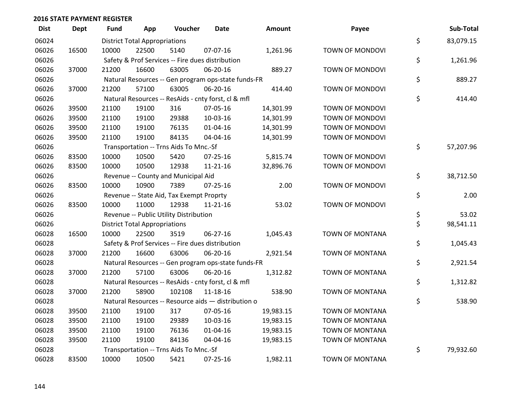| <b>Dist</b> | Dept  | Fund  | App                                  | Voucher                                             | <b>Date</b>    | Amount    | Payee                  | Sub-Total       |
|-------------|-------|-------|--------------------------------------|-----------------------------------------------------|----------------|-----------|------------------------|-----------------|
| 06024       |       |       | <b>District Total Appropriations</b> |                                                     |                |           |                        | \$<br>83,079.15 |
| 06026       | 16500 | 10000 | 22500                                | 5140                                                | 07-07-16       | 1,261.96  | TOWN OF MONDOVI        |                 |
| 06026       |       |       |                                      | Safety & Prof Services -- Fire dues distribution    |                |           |                        | \$<br>1,261.96  |
| 06026       | 37000 | 21200 | 16600                                | 63005                                               | 06-20-16       | 889.27    | <b>TOWN OF MONDOVI</b> |                 |
| 06026       |       |       |                                      | Natural Resources -- Gen program ops-state funds-FR |                |           |                        | \$<br>889.27    |
| 06026       | 37000 | 21200 | 57100                                | 63005                                               | 06-20-16       | 414.40    | TOWN OF MONDOVI        |                 |
| 06026       |       |       |                                      | Natural Resources -- ResAids - cnty forst, cl & mfl |                |           |                        | \$<br>414.40    |
| 06026       | 39500 | 21100 | 19100                                | 316                                                 | 07-05-16       | 14,301.99 | <b>TOWN OF MONDOVI</b> |                 |
| 06026       | 39500 | 21100 | 19100                                | 29388                                               | 10-03-16       | 14,301.99 | TOWN OF MONDOVI        |                 |
| 06026       | 39500 | 21100 | 19100                                | 76135                                               | 01-04-16       | 14,301.99 | TOWN OF MONDOVI        |                 |
| 06026       | 39500 | 21100 | 19100                                | 84135                                               | 04-04-16       | 14,301.99 | TOWN OF MONDOVI        |                 |
| 06026       |       |       |                                      | Transportation -- Trns Aids To Mnc.-Sf              |                |           |                        | \$<br>57,207.96 |
| 06026       | 83500 | 10000 | 10500                                | 5420                                                | 07-25-16       | 5,815.74  | TOWN OF MONDOVI        |                 |
| 06026       | 83500 | 10000 | 10500                                | 12938                                               | $11 - 21 - 16$ | 32,896.76 | TOWN OF MONDOVI        |                 |
| 06026       |       |       |                                      | Revenue -- County and Municipal Aid                 |                |           |                        | \$<br>38,712.50 |
| 06026       | 83500 | 10000 | 10900                                | 7389                                                | 07-25-16       | 2.00      | <b>TOWN OF MONDOVI</b> |                 |
| 06026       |       |       |                                      | Revenue -- State Aid, Tax Exempt Proprty            |                |           |                        | \$<br>2.00      |
| 06026       | 83500 | 10000 | 11000                                | 12938                                               | $11 - 21 - 16$ | 53.02     | <b>TOWN OF MONDOVI</b> |                 |
| 06026       |       |       |                                      | Revenue -- Public Utility Distribution              |                |           |                        | \$<br>53.02     |
| 06026       |       |       | <b>District Total Appropriations</b> |                                                     |                |           |                        | \$<br>98,541.11 |
| 06028       | 16500 | 10000 | 22500                                | 3519                                                | 06-27-16       | 1,045.43  | TOWN OF MONTANA        |                 |
| 06028       |       |       |                                      | Safety & Prof Services -- Fire dues distribution    |                |           |                        | \$<br>1,045.43  |
| 06028       | 37000 | 21200 | 16600                                | 63006                                               | 06-20-16       | 2,921.54  | TOWN OF MONTANA        |                 |
| 06028       |       |       |                                      | Natural Resources -- Gen program ops-state funds-FR |                |           |                        | \$<br>2,921.54  |
| 06028       | 37000 | 21200 | 57100                                | 63006                                               | 06-20-16       | 1,312.82  | TOWN OF MONTANA        |                 |
| 06028       |       |       |                                      | Natural Resources -- ResAids - cnty forst, cl & mfl |                |           |                        | \$<br>1,312.82  |
| 06028       | 37000 | 21200 | 58900                                | 102108                                              | 11-18-16       | 538.90    | TOWN OF MONTANA        |                 |
| 06028       |       |       |                                      | Natural Resources -- Resource aids - distribution o |                |           |                        | \$<br>538.90    |
| 06028       | 39500 | 21100 | 19100                                | 317                                                 | 07-05-16       | 19,983.15 | TOWN OF MONTANA        |                 |
| 06028       | 39500 | 21100 | 19100                                | 29389                                               | 10-03-16       | 19,983.15 | <b>TOWN OF MONTANA</b> |                 |
| 06028       | 39500 | 21100 | 19100                                | 76136                                               | 01-04-16       | 19,983.15 | TOWN OF MONTANA        |                 |
| 06028       | 39500 | 21100 | 19100                                | 84136                                               | 04-04-16       | 19,983.15 | <b>TOWN OF MONTANA</b> |                 |
| 06028       |       |       |                                      | Transportation -- Trns Aids To Mnc.-Sf              |                |           |                        | \$<br>79,932.60 |
| 06028       | 83500 | 10000 | 10500                                | 5421                                                | $07 - 25 - 16$ | 1,982.11  | <b>TOWN OF MONTANA</b> |                 |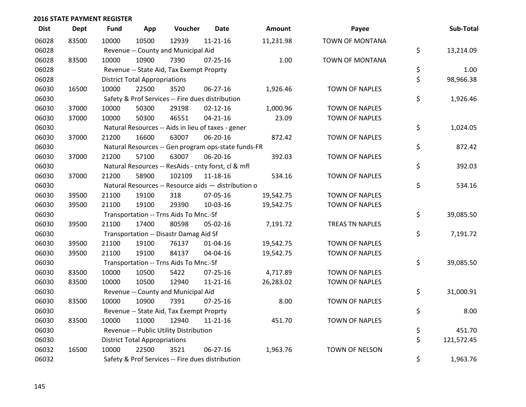| <b>Dist</b> | Dept  | <b>Fund</b> | App                                  | Voucher                                             | <b>Date</b>    | Amount    | Payee                  | Sub-Total        |
|-------------|-------|-------------|--------------------------------------|-----------------------------------------------------|----------------|-----------|------------------------|------------------|
| 06028       | 83500 | 10000       | 10500                                | 12939                                               | $11 - 21 - 16$ | 11,231.98 | <b>TOWN OF MONTANA</b> |                  |
| 06028       |       |             |                                      | Revenue -- County and Municipal Aid                 |                |           |                        | \$<br>13,214.09  |
| 06028       | 83500 | 10000       | 10900                                | 7390                                                | $07 - 25 - 16$ | 1.00      | TOWN OF MONTANA        |                  |
| 06028       |       |             |                                      | Revenue -- State Aid, Tax Exempt Proprty            |                |           |                        | \$<br>1.00       |
| 06028       |       |             | <b>District Total Appropriations</b> |                                                     |                |           |                        | \$<br>98,966.38  |
| 06030       | 16500 | 10000       | 22500                                | 3520                                                | 06-27-16       | 1,926.46  | <b>TOWN OF NAPLES</b>  |                  |
| 06030       |       |             |                                      | Safety & Prof Services -- Fire dues distribution    |                |           |                        | \$<br>1,926.46   |
| 06030       | 37000 | 10000       | 50300                                | 29198                                               | $02 - 12 - 16$ | 1,000.96  | <b>TOWN OF NAPLES</b>  |                  |
| 06030       | 37000 | 10000       | 50300                                | 46551                                               | $04 - 21 - 16$ | 23.09     | <b>TOWN OF NAPLES</b>  |                  |
| 06030       |       |             |                                      | Natural Resources -- Aids in lieu of taxes - gener  |                |           |                        | \$<br>1,024.05   |
| 06030       | 37000 | 21200       | 16600                                | 63007                                               | 06-20-16       | 872.42    | <b>TOWN OF NAPLES</b>  |                  |
| 06030       |       |             |                                      | Natural Resources -- Gen program ops-state funds-FR |                |           |                        | \$<br>872.42     |
| 06030       | 37000 | 21200       | 57100                                | 63007                                               | 06-20-16       | 392.03    | <b>TOWN OF NAPLES</b>  |                  |
| 06030       |       |             |                                      | Natural Resources -- ResAids - cnty forst, cl & mfl |                |           |                        | \$<br>392.03     |
| 06030       | 37000 | 21200       | 58900                                | 102109                                              | 11-18-16       | 534.16    | <b>TOWN OF NAPLES</b>  |                  |
| 06030       |       |             |                                      | Natural Resources -- Resource aids - distribution o |                |           |                        | \$<br>534.16     |
| 06030       | 39500 | 21100       | 19100                                | 318                                                 | 07-05-16       | 19,542.75 | <b>TOWN OF NAPLES</b>  |                  |
| 06030       | 39500 | 21100       | 19100                                | 29390                                               | 10-03-16       | 19,542.75 | <b>TOWN OF NAPLES</b>  |                  |
| 06030       |       |             |                                      | Transportation -- Trns Aids To Mnc.-Sf              |                |           |                        | \$<br>39,085.50  |
| 06030       | 39500 | 21100       | 17400                                | 80598                                               | 05-02-16       | 7,191.72  | TREAS TN NAPLES        |                  |
| 06030       |       |             |                                      | Transportation -- Disastr Damag Aid Sf              |                |           |                        | \$<br>7,191.72   |
| 06030       | 39500 | 21100       | 19100                                | 76137                                               | $01 - 04 - 16$ | 19,542.75 | <b>TOWN OF NAPLES</b>  |                  |
| 06030       | 39500 | 21100       | 19100                                | 84137                                               | 04-04-16       | 19,542.75 | <b>TOWN OF NAPLES</b>  |                  |
| 06030       |       |             |                                      | Transportation -- Trns Aids To Mnc.-Sf              |                |           |                        | \$<br>39,085.50  |
| 06030       | 83500 | 10000       | 10500                                | 5422                                                | $07 - 25 - 16$ | 4,717.89  | <b>TOWN OF NAPLES</b>  |                  |
| 06030       | 83500 | 10000       | 10500                                | 12940                                               | $11 - 21 - 16$ | 26,283.02 | <b>TOWN OF NAPLES</b>  |                  |
| 06030       |       |             |                                      | Revenue -- County and Municipal Aid                 |                |           |                        | \$<br>31,000.91  |
| 06030       | 83500 | 10000       | 10900                                | 7391                                                | $07 - 25 - 16$ | 8.00      | <b>TOWN OF NAPLES</b>  |                  |
| 06030       |       |             |                                      | Revenue -- State Aid, Tax Exempt Proprty            |                |           |                        | \$<br>8.00       |
| 06030       | 83500 | 10000       | 11000                                | 12940                                               | 11-21-16       | 451.70    | <b>TOWN OF NAPLES</b>  |                  |
| 06030       |       |             |                                      | Revenue -- Public Utility Distribution              |                |           |                        | \$<br>451.70     |
| 06030       |       |             | <b>District Total Appropriations</b> |                                                     |                |           |                        | \$<br>121,572.45 |
| 06032       | 16500 | 10000       | 22500                                | 3521                                                | 06-27-16       | 1,963.76  | TOWN OF NELSON         |                  |
| 06032       |       |             |                                      | Safety & Prof Services -- Fire dues distribution    |                |           |                        | \$<br>1,963.76   |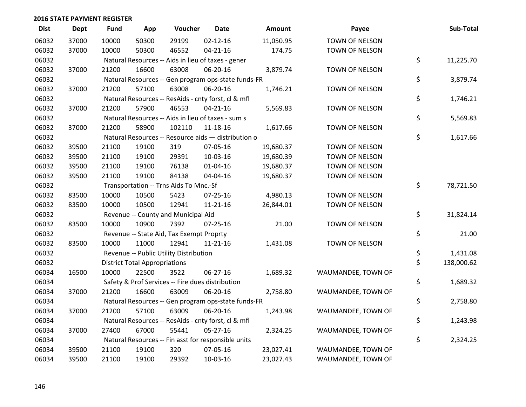| <b>Dist</b> | Dept  | Fund  | App                                  | Voucher                                  | <b>Date</b>                                         | Amount    | Payee              | Sub-Total        |
|-------------|-------|-------|--------------------------------------|------------------------------------------|-----------------------------------------------------|-----------|--------------------|------------------|
| 06032       | 37000 | 10000 | 50300                                | 29199                                    | $02 - 12 - 16$                                      | 11,050.95 | TOWN OF NELSON     |                  |
| 06032       | 37000 | 10000 | 50300                                | 46552                                    | $04 - 21 - 16$                                      | 174.75    | TOWN OF NELSON     |                  |
| 06032       |       |       |                                      |                                          | Natural Resources -- Aids in lieu of taxes - gener  |           |                    | \$<br>11,225.70  |
| 06032       | 37000 | 21200 | 16600                                | 63008                                    | 06-20-16                                            | 3,879.74  | TOWN OF NELSON     |                  |
| 06032       |       |       |                                      |                                          | Natural Resources -- Gen program ops-state funds-FR |           |                    | \$<br>3,879.74   |
| 06032       | 37000 | 21200 | 57100                                | 63008                                    | 06-20-16                                            | 1,746.21  | TOWN OF NELSON     |                  |
| 06032       |       |       |                                      |                                          | Natural Resources -- ResAids - cnty forst, cl & mfl |           |                    | \$<br>1,746.21   |
| 06032       | 37000 | 21200 | 57900                                | 46553                                    | $04 - 21 - 16$                                      | 5,569.83  | TOWN OF NELSON     |                  |
| 06032       |       |       |                                      |                                          | Natural Resources -- Aids in lieu of taxes - sum s  |           |                    | \$<br>5,569.83   |
| 06032       | 37000 | 21200 | 58900                                | 102110                                   | 11-18-16                                            | 1,617.66  | TOWN OF NELSON     |                  |
| 06032       |       |       |                                      |                                          | Natural Resources -- Resource aids - distribution o |           |                    | \$<br>1,617.66   |
| 06032       | 39500 | 21100 | 19100                                | 319                                      | 07-05-16                                            | 19,680.37 | TOWN OF NELSON     |                  |
| 06032       | 39500 | 21100 | 19100                                | 29391                                    | 10-03-16                                            | 19,680.39 | TOWN OF NELSON     |                  |
| 06032       | 39500 | 21100 | 19100                                | 76138                                    | $01 - 04 - 16$                                      | 19,680.37 | TOWN OF NELSON     |                  |
| 06032       | 39500 | 21100 | 19100                                | 84138                                    | 04-04-16                                            | 19,680.37 | TOWN OF NELSON     |                  |
| 06032       |       |       |                                      | Transportation -- Trns Aids To Mnc.-Sf   |                                                     |           |                    | \$<br>78,721.50  |
| 06032       | 83500 | 10000 | 10500                                | 5423                                     | 07-25-16                                            | 4,980.13  | TOWN OF NELSON     |                  |
| 06032       | 83500 | 10000 | 10500                                | 12941                                    | $11 - 21 - 16$                                      | 26,844.01 | TOWN OF NELSON     |                  |
| 06032       |       |       |                                      | Revenue -- County and Municipal Aid      |                                                     |           |                    | \$<br>31,824.14  |
| 06032       | 83500 | 10000 | 10900                                | 7392                                     | $07 - 25 - 16$                                      | 21.00     | TOWN OF NELSON     |                  |
| 06032       |       |       |                                      | Revenue -- State Aid, Tax Exempt Proprty |                                                     |           |                    | \$<br>21.00      |
| 06032       | 83500 | 10000 | 11000                                | 12941                                    | $11 - 21 - 16$                                      | 1,431.08  | TOWN OF NELSON     |                  |
| 06032       |       |       |                                      | Revenue -- Public Utility Distribution   |                                                     |           |                    | \$<br>1,431.08   |
| 06032       |       |       | <b>District Total Appropriations</b> |                                          |                                                     |           |                    | \$<br>138,000.62 |
| 06034       | 16500 | 10000 | 22500                                | 3522                                     | $06 - 27 - 16$                                      | 1,689.32  | WAUMANDEE, TOWN OF |                  |
| 06034       |       |       |                                      |                                          | Safety & Prof Services -- Fire dues distribution    |           |                    | \$<br>1,689.32   |
| 06034       | 37000 | 21200 | 16600                                | 63009                                    | 06-20-16                                            | 2,758.80  | WAUMANDEE, TOWN OF |                  |
| 06034       |       |       |                                      |                                          | Natural Resources -- Gen program ops-state funds-FR |           |                    | \$<br>2,758.80   |
| 06034       | 37000 | 21200 | 57100                                | 63009                                    | 06-20-16                                            | 1,243.98  | WAUMANDEE, TOWN OF |                  |
| 06034       |       |       |                                      |                                          | Natural Resources -- ResAids - cnty forst, cl & mfl |           |                    | \$<br>1,243.98   |
| 06034       | 37000 | 27400 | 67000                                | 55441                                    | 05-27-16                                            | 2,324.25  | WAUMANDEE, TOWN OF |                  |
| 06034       |       |       |                                      |                                          | Natural Resources -- Fin asst for responsible units |           |                    | \$<br>2,324.25   |
| 06034       | 39500 | 21100 | 19100                                | 320                                      | 07-05-16                                            | 23,027.41 | WAUMANDEE, TOWN OF |                  |
| 06034       | 39500 | 21100 | 19100                                | 29392                                    | 10-03-16                                            | 23,027.43 | WAUMANDEE, TOWN OF |                  |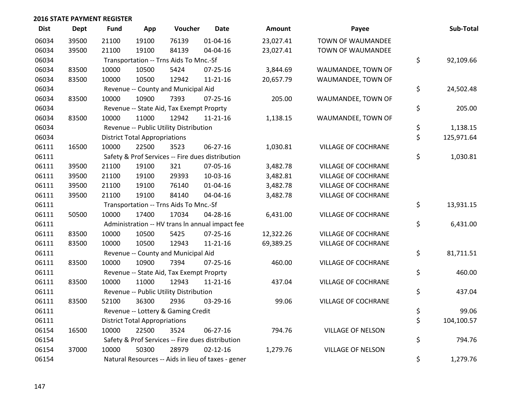| <b>Dist</b> | <b>Dept</b> | <b>Fund</b> | App                                  | Voucher                                  | <b>Date</b>                                        | <b>Amount</b> | Payee                      | Sub-Total        |
|-------------|-------------|-------------|--------------------------------------|------------------------------------------|----------------------------------------------------|---------------|----------------------------|------------------|
| 06034       | 39500       | 21100       | 19100                                | 76139                                    | $01 - 04 - 16$                                     | 23,027.41     | <b>TOWN OF WAUMANDEE</b>   |                  |
| 06034       | 39500       | 21100       | 19100                                | 84139                                    | 04-04-16                                           | 23,027.41     | TOWN OF WAUMANDEE          |                  |
| 06034       |             |             |                                      | Transportation -- Trns Aids To Mnc.-Sf   |                                                    |               |                            | \$<br>92,109.66  |
| 06034       | 83500       | 10000       | 10500                                | 5424                                     | $07 - 25 - 16$                                     | 3,844.69      | WAUMANDEE, TOWN OF         |                  |
| 06034       | 83500       | 10000       | 10500                                | 12942                                    | $11 - 21 - 16$                                     | 20,657.79     | WAUMANDEE, TOWN OF         |                  |
| 06034       |             |             |                                      | Revenue -- County and Municipal Aid      |                                                    |               |                            | \$<br>24,502.48  |
| 06034       | 83500       | 10000       | 10900                                | 7393                                     | $07 - 25 - 16$                                     | 205.00        | WAUMANDEE, TOWN OF         |                  |
| 06034       |             |             |                                      | Revenue -- State Aid, Tax Exempt Proprty |                                                    |               |                            | \$<br>205.00     |
| 06034       | 83500       | 10000       | 11000                                | 12942                                    | $11 - 21 - 16$                                     | 1,138.15      | WAUMANDEE, TOWN OF         |                  |
| 06034       |             |             |                                      | Revenue -- Public Utility Distribution   |                                                    |               |                            | \$<br>1,138.15   |
| 06034       |             |             | <b>District Total Appropriations</b> |                                          |                                                    |               |                            | \$<br>125,971.64 |
| 06111       | 16500       | 10000       | 22500                                | 3523                                     | 06-27-16                                           | 1,030.81      | VILLAGE OF COCHRANE        |                  |
| 06111       |             |             |                                      |                                          | Safety & Prof Services -- Fire dues distribution   |               |                            | \$<br>1,030.81   |
| 06111       | 39500       | 21100       | 19100                                | 321                                      | 07-05-16                                           | 3,482.78      | VILLAGE OF COCHRANE        |                  |
| 06111       | 39500       | 21100       | 19100                                | 29393                                    | 10-03-16                                           | 3,482.81      | <b>VILLAGE OF COCHRANE</b> |                  |
| 06111       | 39500       | 21100       | 19100                                | 76140                                    | $01 - 04 - 16$                                     | 3,482.78      | VILLAGE OF COCHRANE        |                  |
| 06111       | 39500       | 21100       | 19100                                | 84140                                    | 04-04-16                                           | 3,482.78      | VILLAGE OF COCHRANE        |                  |
| 06111       |             |             |                                      | Transportation -- Trns Aids To Mnc.-Sf   |                                                    |               |                            | \$<br>13,931.15  |
| 06111       | 50500       | 10000       | 17400                                | 17034                                    | 04-28-16                                           | 6,431.00      | VILLAGE OF COCHRANE        |                  |
| 06111       |             |             |                                      |                                          | Administration -- HV trans In annual impact fee    |               |                            | \$<br>6,431.00   |
| 06111       | 83500       | 10000       | 10500                                | 5425                                     | $07 - 25 - 16$                                     | 12,322.26     | <b>VILLAGE OF COCHRANE</b> |                  |
| 06111       | 83500       | 10000       | 10500                                | 12943                                    | $11 - 21 - 16$                                     | 69,389.25     | VILLAGE OF COCHRANE        |                  |
| 06111       |             |             |                                      | Revenue -- County and Municipal Aid      |                                                    |               |                            | \$<br>81,711.51  |
| 06111       | 83500       | 10000       | 10900                                | 7394                                     | $07 - 25 - 16$                                     | 460.00        | <b>VILLAGE OF COCHRANE</b> |                  |
| 06111       |             |             |                                      | Revenue -- State Aid, Tax Exempt Proprty |                                                    |               |                            | \$<br>460.00     |
| 06111       | 83500       | 10000       | 11000                                | 12943                                    | $11 - 21 - 16$                                     | 437.04        | VILLAGE OF COCHRANE        |                  |
| 06111       |             |             |                                      | Revenue -- Public Utility Distribution   |                                                    |               |                            | \$<br>437.04     |
| 06111       | 83500       | 52100       | 36300                                | 2936                                     | 03-29-16                                           | 99.06         | VILLAGE OF COCHRANE        |                  |
| 06111       |             |             |                                      | Revenue -- Lottery & Gaming Credit       |                                                    |               |                            | \$<br>99.06      |
| 06111       |             |             | <b>District Total Appropriations</b> |                                          |                                                    |               |                            | \$<br>104,100.57 |
| 06154       | 16500       | 10000       | 22500                                | 3524                                     | 06-27-16                                           | 794.76        | <b>VILLAGE OF NELSON</b>   |                  |
| 06154       |             |             |                                      |                                          | Safety & Prof Services -- Fire dues distribution   |               |                            | \$<br>794.76     |
| 06154       | 37000       | 10000       | 50300                                | 28979                                    | $02 - 12 - 16$                                     | 1,279.76      | <b>VILLAGE OF NELSON</b>   |                  |
| 06154       |             |             |                                      |                                          | Natural Resources -- Aids in lieu of taxes - gener |               |                            | \$<br>1,279.76   |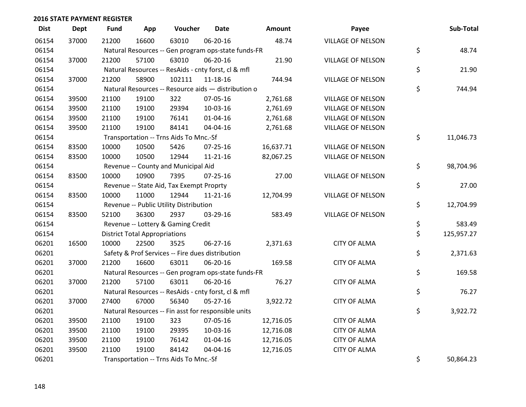| <b>Dist</b> | <b>Dept</b> | <b>Fund</b> | App                                  | Voucher                                             | <b>Date</b>    | Amount    | Payee                    | Sub-Total        |
|-------------|-------------|-------------|--------------------------------------|-----------------------------------------------------|----------------|-----------|--------------------------|------------------|
| 06154       | 37000       | 21200       | 16600                                | 63010                                               | 06-20-16       | 48.74     | <b>VILLAGE OF NELSON</b> |                  |
| 06154       |             |             |                                      | Natural Resources -- Gen program ops-state funds-FR |                |           |                          | \$<br>48.74      |
| 06154       | 37000       | 21200       | 57100                                | 63010                                               | 06-20-16       | 21.90     | <b>VILLAGE OF NELSON</b> |                  |
| 06154       |             |             |                                      | Natural Resources -- ResAids - cnty forst, cl & mfl |                |           |                          | \$<br>21.90      |
| 06154       | 37000       | 21200       | 58900                                | 102111                                              | 11-18-16       | 744.94    | <b>VILLAGE OF NELSON</b> |                  |
| 06154       |             |             |                                      | Natural Resources -- Resource aids - distribution o |                |           |                          | \$<br>744.94     |
| 06154       | 39500       | 21100       | 19100                                | 322                                                 | 07-05-16       | 2,761.68  | <b>VILLAGE OF NELSON</b> |                  |
| 06154       | 39500       | 21100       | 19100                                | 29394                                               | 10-03-16       | 2,761.69  | <b>VILLAGE OF NELSON</b> |                  |
| 06154       | 39500       | 21100       | 19100                                | 76141                                               | $01 - 04 - 16$ | 2,761.68  | <b>VILLAGE OF NELSON</b> |                  |
| 06154       | 39500       | 21100       | 19100                                | 84141                                               | 04-04-16       | 2,761.68  | <b>VILLAGE OF NELSON</b> |                  |
| 06154       |             |             |                                      | Transportation -- Trns Aids To Mnc.-Sf              |                |           |                          | \$<br>11,046.73  |
| 06154       | 83500       | 10000       | 10500                                | 5426                                                | $07 - 25 - 16$ | 16,637.71 | <b>VILLAGE OF NELSON</b> |                  |
| 06154       | 83500       | 10000       | 10500                                | 12944                                               | $11 - 21 - 16$ | 82,067.25 | <b>VILLAGE OF NELSON</b> |                  |
| 06154       |             |             |                                      | Revenue -- County and Municipal Aid                 |                |           |                          | \$<br>98,704.96  |
| 06154       | 83500       | 10000       | 10900                                | 7395                                                | $07 - 25 - 16$ | 27.00     | <b>VILLAGE OF NELSON</b> |                  |
| 06154       |             |             |                                      | Revenue -- State Aid, Tax Exempt Proprty            |                |           |                          | \$<br>27.00      |
| 06154       | 83500       | 10000       | 11000                                | 12944                                               | $11 - 21 - 16$ | 12,704.99 | <b>VILLAGE OF NELSON</b> |                  |
| 06154       |             |             |                                      | Revenue -- Public Utility Distribution              |                |           |                          | \$<br>12,704.99  |
| 06154       | 83500       | 52100       | 36300                                | 2937                                                | 03-29-16       | 583.49    | <b>VILLAGE OF NELSON</b> |                  |
| 06154       |             |             |                                      | Revenue -- Lottery & Gaming Credit                  |                |           |                          | \$<br>583.49     |
| 06154       |             |             | <b>District Total Appropriations</b> |                                                     |                |           |                          | \$<br>125,957.27 |
| 06201       | 16500       | 10000       | 22500                                | 3525                                                | 06-27-16       | 2,371.63  | <b>CITY OF ALMA</b>      |                  |
| 06201       |             |             |                                      | Safety & Prof Services -- Fire dues distribution    |                |           |                          | \$<br>2,371.63   |
| 06201       | 37000       | 21200       | 16600                                | 63011                                               | 06-20-16       | 169.58    | <b>CITY OF ALMA</b>      |                  |
| 06201       |             |             |                                      | Natural Resources -- Gen program ops-state funds-FR |                |           |                          | \$<br>169.58     |
| 06201       | 37000       | 21200       | 57100                                | 63011                                               | 06-20-16       | 76.27     | <b>CITY OF ALMA</b>      |                  |
| 06201       |             |             |                                      | Natural Resources -- ResAids - cnty forst, cl & mfl |                |           |                          | \$<br>76.27      |
| 06201       | 37000       | 27400       | 67000                                | 56340                                               | $05 - 27 - 16$ | 3,922.72  | <b>CITY OF ALMA</b>      |                  |
| 06201       |             |             |                                      | Natural Resources -- Fin asst for responsible units |                |           |                          | \$<br>3,922.72   |
| 06201       | 39500       | 21100       | 19100                                | 323                                                 | 07-05-16       | 12,716.05 | <b>CITY OF ALMA</b>      |                  |
| 06201       | 39500       | 21100       | 19100                                | 29395                                               | 10-03-16       | 12,716.08 | <b>CITY OF ALMA</b>      |                  |
| 06201       | 39500       | 21100       | 19100                                | 76142                                               | $01 - 04 - 16$ | 12,716.05 | <b>CITY OF ALMA</b>      |                  |
| 06201       | 39500       | 21100       | 19100                                | 84142                                               | 04-04-16       | 12,716.05 | <b>CITY OF ALMA</b>      |                  |
| 06201       |             |             |                                      | Transportation -- Trns Aids To Mnc.-Sf              |                |           |                          | \$<br>50,864.23  |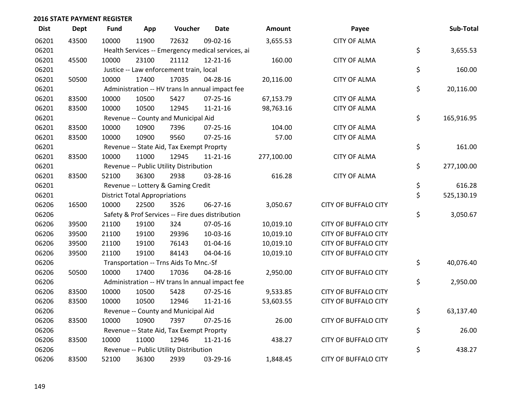| <b>Dist</b> | <b>Dept</b> | Fund  | App                                  | Voucher                                          | <b>Date</b>                                       | Amount     | Payee                       | Sub-Total        |
|-------------|-------------|-------|--------------------------------------|--------------------------------------------------|---------------------------------------------------|------------|-----------------------------|------------------|
| 06201       | 43500       | 10000 | 11900                                | 72632                                            | 09-02-16                                          | 3,655.53   | <b>CITY OF ALMA</b>         |                  |
| 06201       |             |       |                                      |                                                  | Health Services -- Emergency medical services, ai |            |                             | \$<br>3,655.53   |
| 06201       | 45500       | 10000 | 23100                                | 21112                                            | $12 - 21 - 16$                                    | 160.00     | <b>CITY OF ALMA</b>         |                  |
| 06201       |             |       |                                      | Justice -- Law enforcement train, local          |                                                   |            |                             | \$<br>160.00     |
| 06201       | 50500       | 10000 | 17400                                | 17035                                            | 04-28-16                                          | 20,116.00  | <b>CITY OF ALMA</b>         |                  |
| 06201       |             |       |                                      |                                                  | Administration -- HV trans In annual impact fee   |            |                             | \$<br>20,116.00  |
| 06201       | 83500       | 10000 | 10500                                | 5427                                             | $07 - 25 - 16$                                    | 67,153.79  | <b>CITY OF ALMA</b>         |                  |
| 06201       | 83500       | 10000 | 10500                                | 12945                                            | $11 - 21 - 16$                                    | 98,763.16  | <b>CITY OF ALMA</b>         |                  |
| 06201       |             |       |                                      | Revenue -- County and Municipal Aid              |                                                   |            |                             | \$<br>165,916.95 |
| 06201       | 83500       | 10000 | 10900                                | 7396                                             | $07 - 25 - 16$                                    | 104.00     | <b>CITY OF ALMA</b>         |                  |
| 06201       | 83500       | 10000 | 10900                                | 9560                                             | $07 - 25 - 16$                                    | 57.00      | <b>CITY OF ALMA</b>         |                  |
| 06201       |             |       |                                      | Revenue -- State Aid, Tax Exempt Proprty         |                                                   |            |                             | \$<br>161.00     |
| 06201       | 83500       | 10000 | 11000                                | 12945                                            | $11 - 21 - 16$                                    | 277,100.00 | <b>CITY OF ALMA</b>         |                  |
| 06201       |             |       |                                      | Revenue -- Public Utility Distribution           |                                                   |            |                             | \$<br>277,100.00 |
| 06201       | 83500       | 52100 | 36300                                | 2938                                             | 03-28-16                                          | 616.28     | <b>CITY OF ALMA</b>         |                  |
| 06201       |             |       |                                      | Revenue -- Lottery & Gaming Credit               |                                                   |            |                             | \$<br>616.28     |
| 06201       |             |       | <b>District Total Appropriations</b> |                                                  |                                                   |            |                             | \$<br>525,130.19 |
| 06206       | 16500       | 10000 | 22500                                | 3526                                             | 06-27-16                                          | 3,050.67   | <b>CITY OF BUFFALO CITY</b> |                  |
| 06206       |             |       |                                      | Safety & Prof Services -- Fire dues distribution |                                                   |            |                             | \$<br>3,050.67   |
| 06206       | 39500       | 21100 | 19100                                | 324                                              | 07-05-16                                          | 10,019.10  | <b>CITY OF BUFFALO CITY</b> |                  |
| 06206       | 39500       | 21100 | 19100                                | 29396                                            | 10-03-16                                          | 10,019.10  | <b>CITY OF BUFFALO CITY</b> |                  |
| 06206       | 39500       | 21100 | 19100                                | 76143                                            | $01 - 04 - 16$                                    | 10,019.10  | <b>CITY OF BUFFALO CITY</b> |                  |
| 06206       | 39500       | 21100 | 19100                                | 84143                                            | 04-04-16                                          | 10,019.10  | <b>CITY OF BUFFALO CITY</b> |                  |
| 06206       |             |       |                                      | Transportation -- Trns Aids To Mnc.-Sf           |                                                   |            |                             | \$<br>40,076.40  |
| 06206       | 50500       | 10000 | 17400                                | 17036                                            | 04-28-16                                          | 2,950.00   | <b>CITY OF BUFFALO CITY</b> |                  |
| 06206       |             |       |                                      |                                                  | Administration -- HV trans In annual impact fee   |            |                             | \$<br>2,950.00   |
| 06206       | 83500       | 10000 | 10500                                | 5428                                             | $07 - 25 - 16$                                    | 9,533.85   | <b>CITY OF BUFFALO CITY</b> |                  |
| 06206       | 83500       | 10000 | 10500                                | 12946                                            | $11 - 21 - 16$                                    | 53,603.55  | <b>CITY OF BUFFALO CITY</b> |                  |
| 06206       |             |       |                                      | Revenue -- County and Municipal Aid              |                                                   |            |                             | \$<br>63,137.40  |
| 06206       | 83500       | 10000 | 10900                                | 7397                                             | $07 - 25 - 16$                                    | 26.00      | <b>CITY OF BUFFALO CITY</b> |                  |
| 06206       |             |       |                                      | Revenue -- State Aid, Tax Exempt Proprty         |                                                   |            |                             | \$<br>26.00      |
| 06206       | 83500       | 10000 | 11000                                | 12946                                            | $11 - 21 - 16$                                    | 438.27     | <b>CITY OF BUFFALO CITY</b> |                  |
| 06206       |             |       |                                      | Revenue -- Public Utility Distribution           |                                                   |            |                             | \$<br>438.27     |
| 06206       | 83500       | 52100 | 36300                                | 2939                                             | 03-29-16                                          | 1,848.45   | <b>CITY OF BUFFALO CITY</b> |                  |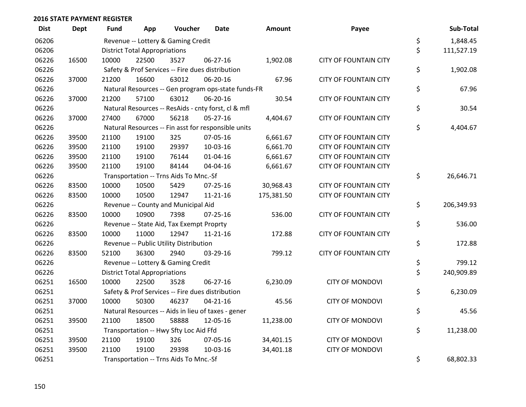| <b>Dist</b> | <b>Dept</b> | <b>Fund</b> | App                                    | Voucher                                             | <b>Date</b>    | Amount     | Payee                        |    | Sub-Total  |
|-------------|-------------|-------------|----------------------------------------|-----------------------------------------------------|----------------|------------|------------------------------|----|------------|
| 06206       |             |             |                                        | Revenue -- Lottery & Gaming Credit                  |                |            |                              | \$ | 1,848.45   |
| 06206       |             |             | <b>District Total Appropriations</b>   |                                                     |                |            |                              | \$ | 111,527.19 |
| 06226       | 16500       | 10000       | 22500                                  | 3527                                                | 06-27-16       | 1,902.08   | <b>CITY OF FOUNTAIN CITY</b> |    |            |
| 06226       |             |             |                                        | Safety & Prof Services -- Fire dues distribution    |                |            |                              | \$ | 1,902.08   |
| 06226       | 37000       | 21200       | 16600                                  | 63012                                               | 06-20-16       | 67.96      | <b>CITY OF FOUNTAIN CITY</b> |    |            |
| 06226       |             |             |                                        | Natural Resources -- Gen program ops-state funds-FR |                |            |                              | \$ | 67.96      |
| 06226       | 37000       | 21200       | 57100                                  | 63012                                               | 06-20-16       | 30.54      | <b>CITY OF FOUNTAIN CITY</b> |    |            |
| 06226       |             |             |                                        | Natural Resources -- ResAids - cnty forst, cl & mfl |                |            |                              | \$ | 30.54      |
| 06226       | 37000       | 27400       | 67000                                  | 56218                                               | $05 - 27 - 16$ | 4,404.67   | <b>CITY OF FOUNTAIN CITY</b> |    |            |
| 06226       |             |             |                                        | Natural Resources -- Fin asst for responsible units |                |            |                              | \$ | 4,404.67   |
| 06226       | 39500       | 21100       | 19100                                  | 325                                                 | 07-05-16       | 6,661.67   | <b>CITY OF FOUNTAIN CITY</b> |    |            |
| 06226       | 39500       | 21100       | 19100                                  | 29397                                               | $10-03-16$     | 6,661.70   | <b>CITY OF FOUNTAIN CITY</b> |    |            |
| 06226       | 39500       | 21100       | 19100                                  | 76144                                               | $01 - 04 - 16$ | 6,661.67   | <b>CITY OF FOUNTAIN CITY</b> |    |            |
| 06226       | 39500       | 21100       | 19100                                  | 84144                                               | 04-04-16       | 6,661.67   | <b>CITY OF FOUNTAIN CITY</b> |    |            |
| 06226       |             |             | Transportation -- Trns Aids To Mnc.-Sf |                                                     |                |            |                              |    |            |
| 06226       | 83500       | 10000       | 10500                                  | 5429                                                | 07-25-16       | 30,968.43  | <b>CITY OF FOUNTAIN CITY</b> |    |            |
| 06226       | 83500       | 10000       | 10500                                  | 12947                                               | 11-21-16       | 175,381.50 | <b>CITY OF FOUNTAIN CITY</b> |    |            |
| 06226       |             |             |                                        | Revenue -- County and Municipal Aid                 |                |            |                              | \$ | 206,349.93 |
| 06226       | 83500       | 10000       | 10900                                  | 7398                                                | $07 - 25 - 16$ | 536.00     | <b>CITY OF FOUNTAIN CITY</b> |    |            |
| 06226       |             |             |                                        | Revenue -- State Aid, Tax Exempt Proprty            |                |            |                              | \$ | 536.00     |
| 06226       | 83500       | 10000       | 11000                                  | 12947                                               | $11 - 21 - 16$ | 172.88     | <b>CITY OF FOUNTAIN CITY</b> |    |            |
| 06226       |             |             |                                        | Revenue -- Public Utility Distribution              |                |            |                              | \$ | 172.88     |
| 06226       | 83500       | 52100       | 36300                                  | 2940                                                | 03-29-16       | 799.12     | <b>CITY OF FOUNTAIN CITY</b> |    |            |
| 06226       |             |             |                                        | Revenue -- Lottery & Gaming Credit                  |                |            |                              | \$ | 799.12     |
| 06226       |             |             | <b>District Total Appropriations</b>   |                                                     |                |            |                              | \$ | 240,909.89 |
| 06251       | 16500       | 10000       | 22500                                  | 3528                                                | 06-27-16       | 6,230.09   | <b>CITY OF MONDOVI</b>       |    |            |
| 06251       |             |             |                                        | Safety & Prof Services -- Fire dues distribution    |                |            |                              | \$ | 6,230.09   |
| 06251       | 37000       | 10000       | 50300                                  | 46237                                               | $04 - 21 - 16$ | 45.56      | <b>CITY OF MONDOVI</b>       |    |            |
| 06251       |             |             |                                        | Natural Resources -- Aids in lieu of taxes - gener  |                |            |                              | \$ | 45.56      |
| 06251       | 39500       | 21100       | 18500                                  | 58888                                               | 12-05-16       | 11,238.00  | <b>CITY OF MONDOVI</b>       |    |            |
| 06251       |             |             |                                        | Transportation -- Hwy Sfty Loc Aid Ffd              |                |            |                              | \$ | 11,238.00  |
| 06251       | 39500       | 21100       | 19100                                  | 326                                                 | 07-05-16       | 34,401.15  | <b>CITY OF MONDOVI</b>       |    |            |
| 06251       | 39500       | 21100       | 19100                                  | 29398                                               | 10-03-16       | 34,401.18  | <b>CITY OF MONDOVI</b>       |    |            |
| 06251       |             |             |                                        | Transportation -- Trns Aids To Mnc.-Sf              |                |            |                              | \$ | 68,802.33  |